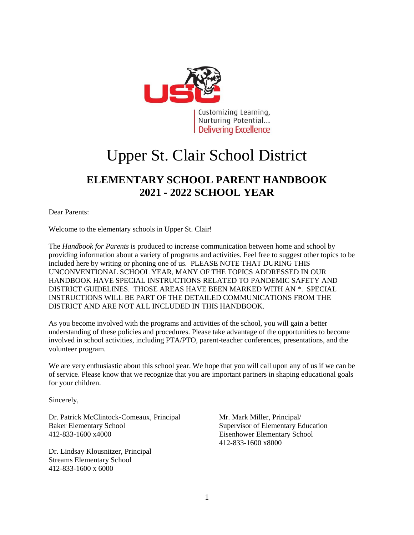

# Upper St. Clair School District

### **ELEMENTARY SCHOOL PARENT HANDBOOK 2021 - 2022 SCHOOL YEAR**

Dear Parents:

Welcome to the elementary schools in Upper St. Clair!

The *Handbook for Parents* is produced to increase communication between home and school by providing information about a variety of programs and activities. Feel free to suggest other topics to be included here by writing or phoning one of us. PLEASE NOTE THAT DURING THIS UNCONVENTIONAL SCHOOL YEAR, MANY OF THE TOPICS ADDRESSED IN OUR HANDBOOK HAVE SPECIAL INSTRUCTIONS RELATED TO PANDEMIC SAFETY AND DISTRICT GUIDELINES. THOSE AREAS HAVE BEEN MARKED WITH AN \*. SPECIAL INSTRUCTIONS WILL BE PART OF THE DETAILED COMMUNICATIONS FROM THE DISTRICT AND ARE NOT ALL INCLUDED IN THIS HANDBOOK.

As you become involved with the programs and activities of the school, you will gain a better understanding of these policies and procedures. Please take advantage of the opportunities to become involved in school activities, including PTA/PTO, parent-teacher conferences, presentations, and the volunteer program.

We are very enthusiastic about this school year. We hope that you will call upon any of us if we can be of service. Please know that we recognize that you are important partners in shaping educational goals for your children.

Sincerely,

Dr. Patrick McClintock-Comeaux, Principal Mr. Mark Miller, Principal/ Baker Elementary School Supervisor of Elementary Education 412-833-1600 x4000 Eisenhower Elementary School

Dr. Lindsay Klousnitzer, Principal Streams Elementary School 412-833-1600 x 6000

412-833-1600 x8000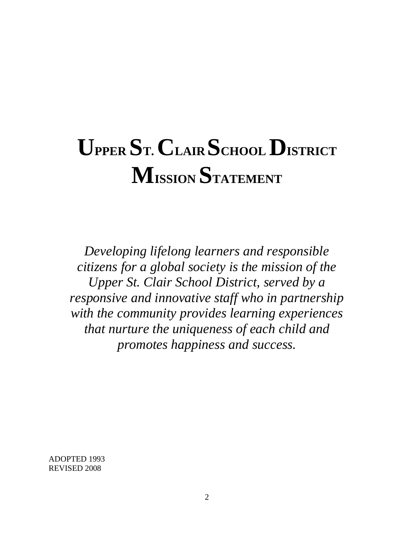# **UPPER ST. CLAIR SCHOOL DISTRICT MISSION STATEMENT**

*Developing lifelong learners and responsible citizens for a global society is the mission of the Upper St. Clair School District, served by a responsive and innovative staff who in partnership with the community provides learning experiences that nurture the uniqueness of each child and promotes happiness and success.*

ADOPTED 1993 REVISED 2008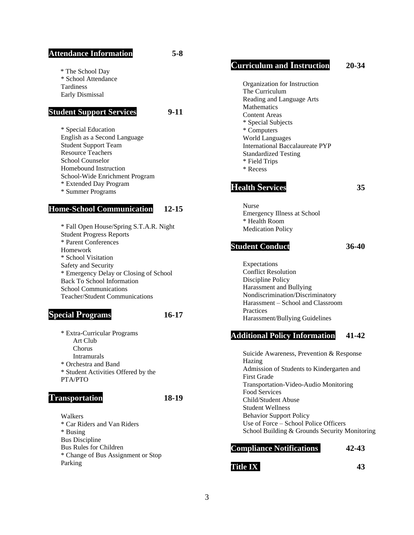#### **Attendance Information 5-8**

 \* The School Day \* School Attendance Tardiness Early Dismissal

#### **Student Support Services 9-11**

\* Special Education English as a Second Language Student Support Team Resource Teachers School Counselor Homebound Instruction School-Wide Enrichment Program \* Extended Day Program \* Summer Programs

#### **Home-School Communication 12-15**

\* Fall Open House/Spring S.T.A.R. Night Student Progress Reports \* Parent Conferences Homework \* School Visitation Safety and Security \* Emergency Delay or Closing of School Back To School Information School Communications Teacher/Student Communications

#### **Special Programs 16-17**

\* Extra-Curricular Programs Art Club Chorus Intramurals \* Orchestra and Band \* Student Activities Offered by the PTA/PTO

#### **Transportation 18-19**

Walkers \* Car Riders and Van Riders \* Busing Bus Discipline Bus Rules for Children \* Change of Bus Assignment or Stop Parking

#### **Curriculum and Instruction 20-34**

Organization for Instruction The Curriculum Reading and Language Arts **Mathematics** Content Areas \* Special Subjects \* Computers World Languages International Baccalaureate PYP Standardized Testing \* Field Trips \* Recess

#### **Health Services 35**

Nurse Emergency Illness at School \* Health Room Medication Policy

#### **Student Conduct 36-40**

Expectations Conflict Resolution Discipline Policy Harassment and Bullying Nondiscrimination/Discriminatory Harassment – School and Classroom Practices Harassment/Bullying Guidelines

#### **Additional Policy Information 41-42**

Suicide Awareness, Prevention & Response Hazing Admission of Students to Kindergarten and First Grade Transportation-Video-Audio Monitoring Food Services Child/Student Abuse Student Wellness Behavior Support Policy Use of Force – School Police Officers School Building & Grounds Security Monitoring

#### **Compliance Notifications 42-43**

**Title IX 43**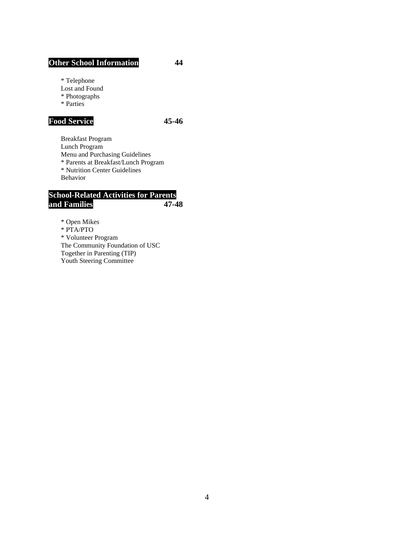#### **Other School Information 44**

\* Telephone

Lost and Found

- \* Photographs
- \* Parties

### **Food Service 45-46**

Breakfast Program Lunch Program Menu and Purchasing Guidelines \* Parents at Breakfast/Lunch Program \* Nutrition Center Guidelines Behavior

#### **School-Related Activities for Parents and Families 47-48**

\* Open Mikes

\* PTA/PTO

\* Volunteer Program The Community Foundation of USC Together in Parenting (TIP) Youth Steering Committee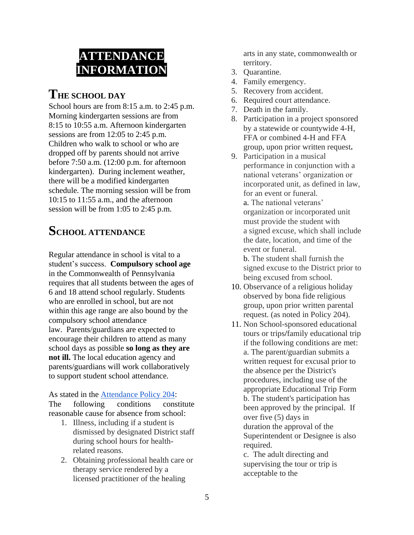## **ATTENDANCE INFORMATION**

### **THE SCHOOL DAY**

School hours are from 8:15 a.m. to 2:45 p.m. Morning kindergarten sessions are from 8:15 to 10:55 a.m. Afternoon kindergarten sessions are from 12:05 to 2:45 p.m. Children who walk to school or who are dropped off by parents should not arrive before 7:50 a.m. (12:00 p.m. for afternoon kindergarten). During inclement weather, there will be a modified kindergarten schedule. The morning session will be from 10:15 to 11:55 a.m., and the afternoon session will be from 1:05 to 2:45 p.m.

## **SCHOOL ATTENDANCE**

Regular attendance in school is vital to a student's success. **Compulsory school age**  in the Commonwealth of Pennsylvania requires that all students between the ages of 6 and 18 attend school regularly. Students who are enrolled in school, but are not within this age range are also bound by the compulsory school attendance law. Parents/guardians are expected to encourage their children to attend as many school days as possible **so long as they are not ill.** The local education agency and parents/guardians will work collaboratively to support student school attendance.

As stated in the [Attendance Policy 204:](https://www.uscsd.k12.pa.us/Page/134)

The following conditions constitute reasonable cause for absence from school:

- 1. Illness, including if a student is dismissed by designated District staff during school hours for healthrelated reasons.
- 2. Obtaining professional health care or therapy service rendered by a licensed practitioner of the healing

arts in any state, commonwealth or territory.

- 3. Quarantine.
- 4. Family emergency.
- 5. Recovery from accident.
- 6. Required court attendance.
- 7. Death in the family.
- 8. Participation in a project sponsored by a statewide or countywide 4-H, FFA or combined 4-H and FFA group, upon prior written request**.**
- 9. Participation in a musical performance in conjunction with a national veterans' organization or incorporated unit, as defined in law, for an event or funeral. a. The national veterans' organization or incorporated unit must provide the student with a signed excuse, which shall include the date, location, and time of the event or funeral.

b. The student shall furnish the signed excuse to the District prior to being excused from school.

- 10. Observance of a religious holiday observed by bona fide religious group, upon prior written parental request. (as noted in Policy 204).
- 11. Non School-sponsored educational tours or trips**/**family educational trip if the following conditions are met: a. The parent/guardian submits a written request for excusal prior to the absence per the District's procedures, including use of the appropriate Educational Trip Form b. The student's participation has been approved by the principal. If over five (5) days in duration the approval of the Superintendent or Designee is also required. c. The adult directing and supervising the tour or trip is

acceptable to the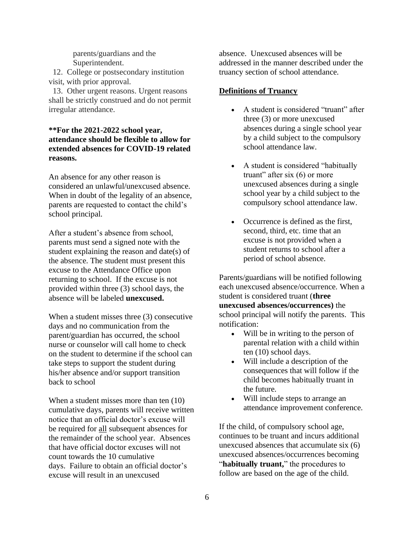parents/guardians and the Superintendent.

 12. College or postsecondary institution visit, with prior approval.

 13. Other urgent reasons. Urgent reasons shall be strictly construed and do not permit irregular attendance.

#### **\*\*For the 2021-2022 school year, attendance should be flexible to allow for extended absences for COVID-19 related reasons.**

An absence for any other reason is considered an unlawful/unexcused absence. When in doubt of the legality of an absence, parents are requested to contact the child's school principal.

After a student's absence from school, parents must send a signed note with the student explaining the reason and date(s) of the absence. The student must present this excuse to the Attendance Office upon returning to school. If the excuse is not provided within three (3) school days, the absence will be labeled **unexcused.** 

When a student misses three (3) consecutive days and no communication from the parent/guardian has occurred, the school nurse or counselor will call home to check on the student to determine if the school can take steps to support the student during his/her absence and/or support transition back to school

When a student misses more than ten (10) cumulative days, parents will receive written notice that an official doctor's excuse will be required for all subsequent absences for the remainder of the school year. Absences that have official doctor excuses will not count towards the 10 cumulative days. Failure to obtain an official doctor's excuse will result in an unexcused

absence. Unexcused absences will be addressed in the manner described under the truancy section of school attendance.

#### **Definitions of Truancy**

- A student is considered "truant" after three (3) or more unexcused absences during a single school year by a child subject to the compulsory school attendance law.
- A student is considered "habitually truant" after six  $(6)$  or more unexcused absences during a single school year by a child subject to the compulsory school attendance law.
- Occurrence is defined as the first, second, third, etc. time that an excuse is not provided when a student returns to school after a period of school absence.

Parents/guardians will be notified following each unexcused absence/occurrence. When a student is considered truant (**three unexcused absences/occurrences)** the school principal will notify the parents. This notification:

- Will be in writing to the person of parental relation with a child within ten (10) school days.
- Will include a description of the consequences that will follow if the child becomes habitually truant in the future.
- Will include steps to arrange an attendance improvement conference.

If the child, of compulsory school age, continues to be truant and incurs additional unexcused absences that accumulate six (6) unexcused absences/occurrences becoming "**habitually truant,**" the procedures to follow are based on the age of the child.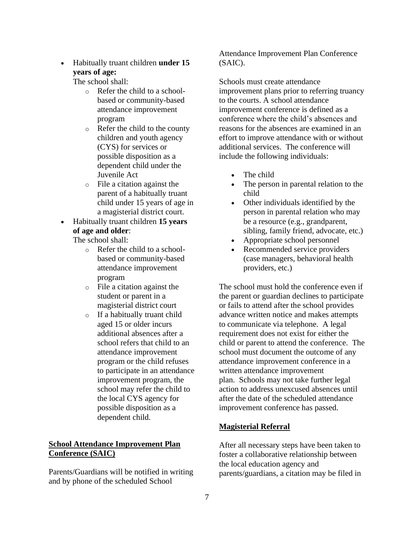• Habitually truant children **under 15 years of age:**

The school shall:

- o Refer the child to a schoolbased or community-based attendance improvement program
- o Refer the child to the county children and youth agency (CYS) for services or possible disposition as a dependent child under the Juvenile Act
- o File a citation against the parent of a habitually truant child under 15 years of age in a magisterial district court.
- Habitually truant children **15 years of age and older**:

The school shall:

- o Refer the child to a schoolbased or community-based attendance improvement program
- o File a citation against the student or parent in a magisterial district court
- o If a habitually truant child aged 15 or older incurs additional absences after a school refers that child to an attendance improvement program or the child refuses to participate in an attendance improvement program, the school may refer the child to the local CYS agency for possible disposition as a dependent child.

#### **School Attendance Improvement Plan Conference (SAIC)**

Parents/Guardians will be notified in writing and by phone of the scheduled School

Attendance Improvement Plan Conference (SAIC).

Schools must create attendance improvement plans prior to referring truancy to the courts. A school attendance improvement conference is defined as a conference where the child's absences and reasons for the absences are examined in an effort to improve attendance with or without additional services. The conference will include the following individuals:

- The child
- The person in parental relation to the child
- Other individuals identified by the person in parental relation who may be a resource (e.g., grandparent, sibling, family friend, advocate, etc.)
- Appropriate school personnel
- Recommended service providers (case managers, behavioral health providers, etc.)

The school must hold the conference even if the parent or guardian declines to participate or fails to attend after the school provides advance written notice and makes attempts to communicate via telephone. A legal requirement does not exist for either the child or parent to attend the conference. The school must document the outcome of any attendance improvement conference in a written attendance improvement plan. Schools may not take further legal action to address unexcused absences until after the date of the scheduled attendance improvement conference has passed.

#### **Magisterial Referral**

After all necessary steps have been taken to foster a collaborative relationship between the local education agency and parents/guardians, a citation may be filed in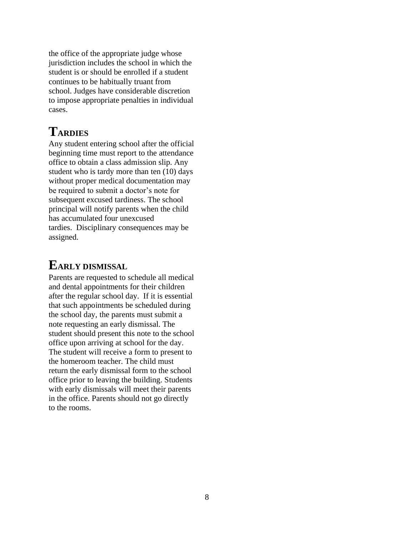the office of the appropriate judge whose jurisdiction includes the school in which the student is or should be enrolled if a student continues to be habitually truant from school. Judges have considerable discretion to impose appropriate penalties in individual cases.

## **TARDIES**

Any student entering school after the official beginning time must report to the attendance office to obtain a class admission slip. Any student who is tardy more than ten (10) days without proper medical documentation may be required to submit a doctor's note for subsequent excused tardiness. The school principal will notify parents when the child has accumulated four unexcused tardies. Disciplinary consequences may be assigned.

## **EARLY DISMISSAL**

Parents are requested to schedule all medical and dental appointments for their children after the regular school day. If it is essential that such appointments be scheduled during the school day, the parents must submit a note requesting an early dismissal. The student should present this note to the school office upon arriving at school for the day. The student will receive a form to present to the homeroom teacher. The child must return the early dismissal form to the school office prior to leaving the building. Students with early dismissals will meet their parents in the office. Parents should not go directly to the rooms.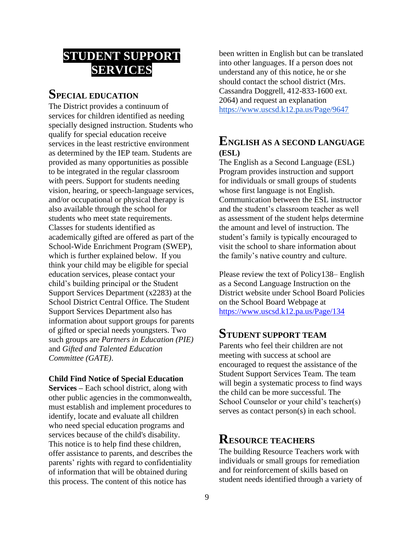## **STUDENT SUPPORT SERVICES**

### **SPECIAL EDUCATION**

The District provides a continuum of services for children identified as needing specially designed instruction. Students who qualify for special education receive services in the least restrictive environment as determined by the IEP team. Students are provided as many opportunities as possible to be integrated in the regular classroom with peers. Support for students needing vision, hearing, or speech-language services, and/or occupational or physical therapy is also available through the school for students who meet state requirements. Classes for students identified as academically gifted are offered as part of the School-Wide Enrichment Program (SWEP), which is further explained below. If you think your child may be eligible for special education services, please contact your child's building principal or the Student Support Services Department (x2283) at the School District Central Office. The Student Support Services Department also has information about support groups for parents of gifted or special needs youngsters. Two such groups are *Partners in Education (PIE)*  and *Gifted and Talented Education Committee (GATE)*.

#### **Child Find Notice of Special Education**

**Services –** Each school district, along with other public agencies in the commonwealth, must establish and implement procedures to identify, locate and evaluate all children who need special education programs and services because of the child's disability. This notice is to help find these children, offer assistance to parents, and describes the parents' rights with regard to confidentiality of information that will be obtained during this process. The content of this notice has

been written in English but can be translated into other languages. If a person does not understand any of this notice, he or she should contact the school district (Mrs. Cassandra Doggrell, 412-833-1600 ext. 2064) and request an explanation <https://www.uscsd.k12.pa.us/Page/9647>

### **ENGLISH AS A SECOND LANGUAGE (ESL)**

The English as a Second Language (ESL) Program provides instruction and support for individuals or small groups of students whose first language is not English. Communication between the ESL instructor and the student's classroom teacher as well as assessment of the student helps determine the amount and level of instruction. The student's family is typically encouraged to visit the school to share information about the family's native country and culture.

Please review the text of Policy138– English as a Second Language Instruction on the District website under School Board Policies on the School Board Webpage at <https://www.uscsd.k12.pa.us/Page/134>

### **STUDENT SUPPORT TEAM**

Parents who feel their children are not meeting with success at school are encouraged to request the assistance of the Student Support Services Team. The team will begin a systematic process to find ways the child can be more successful. The School Counselor or your child's teacher(s) serves as contact person(s) in each school.

### **RESOURCE TEACHERS**

The building Resource Teachers work with individuals or small groups for remediation and for reinforcement of skills based on student needs identified through a variety of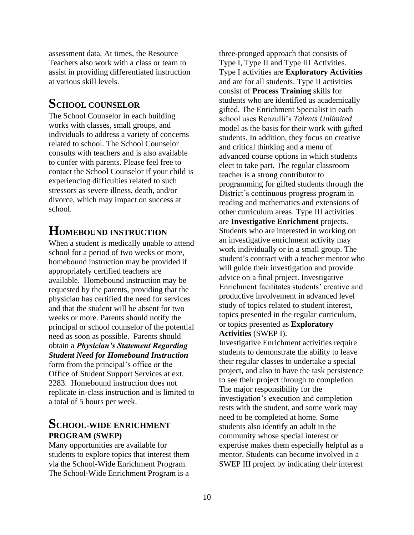assessment data. At times, the Resource Teachers also work with a class or team to assist in providing differentiated instruction at various skill levels.

### **SCHOOL COUNSELOR**

The School Counselor in each building works with classes, small groups, and individuals to address a variety of concerns related to school. The School Counselor consults with teachers and is also available to confer with parents. Please feel free to contact the School Counselor if your child is experiencing difficulties related to such stressors as severe illness, death, and/or divorce, which may impact on success at school.

## **HOMEBOUND INSTRUCTION**

When a student is medically unable to attend school for a period of two weeks or more, homebound instruction may be provided if appropriately certified teachers are available. Homebound instruction may be requested by the parents, providing that the physician has certified the need for services and that the student will be absent for two weeks or more. Parents should notify the principal or school counselor of the potential need as soon as possible. Parents should obtain a *Physician's Statement Regarding Student Need for Homebound Instruction* form from the principal's office or the Office of Student Support Services at ext. 2283. Homebound instruction does not replicate in-class instruction and is limited to a total of 5 hours per week.

### **SCHOOL-WIDE ENRICHMENT PROGRAM (SWEP)**

Many opportunities are available for students to explore topics that interest them via the School-Wide Enrichment Program. The School-Wide Enrichment Program is a three-pronged approach that consists of Type I, Type II and Type III Activities. Type I activities are **Exploratory Activities** and are for all students. Type II activities consist of **Process Training** skills for students who are identified as academically gifted. The Enrichment Specialist in each school uses Renzulli's *Talents Unlimited*  model as the basis for their work with gifted students. In addition, they focus on creative and critical thinking and a menu of advanced course options in which students elect to take part. The regular classroom teacher is a strong contributor to programming for gifted students through the District's continuous progress program in reading and mathematics and extensions of other curriculum areas. Type III activities are **Investigative Enrichment** projects. Students who are interested in working on an investigative enrichment activity may work individually or in a small group. The student's contract with a teacher mentor who will guide their investigation and provide advice on a final project. Investigative Enrichment facilitates students' creative and productive involvement in advanced level study of topics related to student interest, topics presented in the regular curriculum, or topics presented as **Exploratory Activities** (SWEP I).

Investigative Enrichment activities require students to demonstrate the ability to leave their regular classes to undertake a special project, and also to have the task persistence to see their project through to completion. The major responsibility for the investigation's execution and completion rests with the student, and some work may need to be completed at home. Some students also identify an adult in the community whose special interest or expertise makes them especially helpful as a mentor. Students can become involved in a SWEP III project by indicating their interest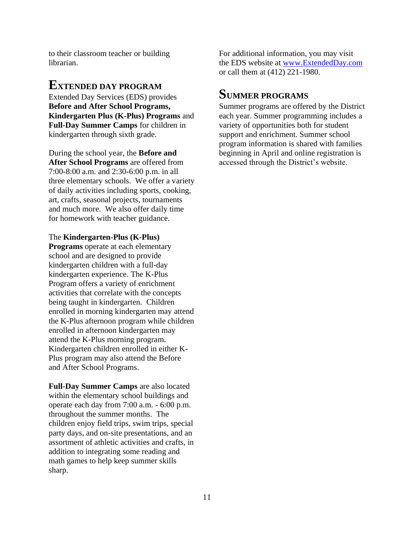to their classroom teacher or building librarian.

### **EXTENDED DAY PROGRAM**

Extended Day Services (EDS) provides **Before and After School Programs, Kindergarten Plus (K-Plus) Programs** and **Full-Day Summer Camps** for children in kindergarten through sixth grade.

During the school year, the **Before and After School Programs** are offered from 7:00-8:00 a.m. and 2:30-6:00 p.m. in all three elementary schools. We offer a variety of daily activities including sports, cooking, art, crafts, seasonal projects, tournaments and much more. We also offer daily time for homework with teacher guidance.

The **Kindergarten-Plus (K-Plus)** 

**Programs** operate at each elementary school and are designed to provide kindergarten children with a full-day kindergarten experience. The K-Plus Program offers a variety of enrichment activities that correlate with the concepts being taught in kindergarten. Children enrolled in morning kindergarten may attend the K-Plus afternoon program while children enrolled in afternoon kindergarten may attend the K-Plus morning program. Kindergarten children enrolled in either K-Plus program may also attend the Before and After School Programs.

**Full-Day Summer Camps** are also located within the elementary school buildings and operate each day from 7:00 a.m. - 6:00 p.m. throughout the summer months. The children enjoy field trips, swim trips, special party days, and on-site presentations, and an assortment of athletic activities and crafts, in addition to integrating some reading and math games to help keep summer skills sharp.

For additional information, you may visit the EDS website at [www.ExtendedDay.com](http://www.extendedday.com/) or call them at (412) 221-1980.

### **SUMMER PROGRAMS**

Summer programs are offered by the District each year. Summer programming includes a variety of opportunities both for student support and enrichment. Summer school program information is shared with families beginning in April and online registration is accessed through the District's website.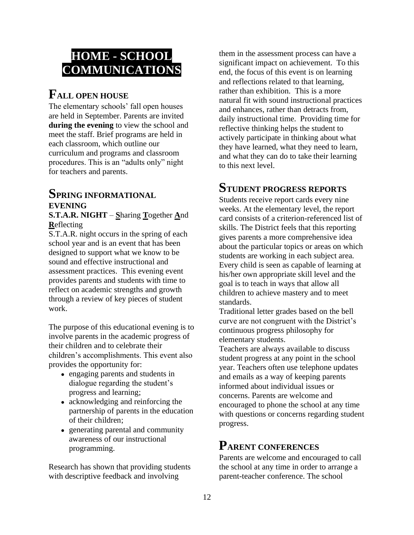## **HOME - SCHOOL COMMUNICATIONS**

### **FALL OPEN HOUSE**

The elementary schools' fall open houses are held in September. Parents are invited **during the evening** to view the school and meet the staff. Brief programs are held in each classroom, which outline our curriculum and programs and classroom procedures. This is an "adults only" night for teachers and parents.

### **SPRING INFORMATIONAL EVENING S.T.A.R. NIGHT** – **S**haring **T**ogether **A**nd

**R**eflecting

S.T.A.R. night occurs in the spring of each school year and is an event that has been designed to support what we know to be sound and effective instructional and assessment practices. This evening event provides parents and students with time to reflect on academic strengths and growth through a review of key pieces of student work.

The purpose of this educational evening is to involve parents in the academic progress of their children and to celebrate their children's accomplishments. This event also provides the opportunity for:

- engaging parents and students in dialogue regarding the student's progress and learning;
- acknowledging and reinforcing the partnership of parents in the education of their children;
- generating parental and community awareness of our instructional programming.

Research has shown that providing students with descriptive feedback and involving

them in the assessment process can have a significant impact on achievement. To this end, the focus of this event is on learning and reflections related to that learning, rather than exhibition. This is a more natural fit with sound instructional practices and enhances, rather than detracts from, daily instructional time. Providing time for reflective thinking helps the student to actively participate in thinking about what they have learned, what they need to learn, and what they can do to take their learning to this next level.

## **STUDENT PROGRESS REPORTS**

Students receive report cards every nine weeks. At the elementary level, the report card consists of a criterion-referenced list of skills. The District feels that this reporting gives parents a more comprehensive idea about the particular topics or areas on which students are working in each subject area. Every child is seen as capable of learning at his/her own appropriate skill level and the goal is to teach in ways that allow all children to achieve mastery and to meet standards.

Traditional letter grades based on the bell curve are not congruent with the District's continuous progress philosophy for elementary students.

Teachers are always available to discuss student progress at any point in the school year. Teachers often use telephone updates and emails as a way of keeping parents informed about individual issues or concerns. Parents are welcome and encouraged to phone the school at any time with questions or concerns regarding student progress.

## **PARENT CONFERENCES**

Parents are welcome and encouraged to call the school at any time in order to arrange a parent-teacher conference. The school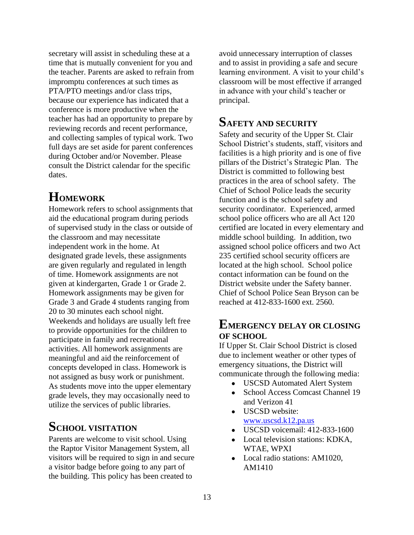secretary will assist in scheduling these at a time that is mutually convenient for you and the teacher. Parents are asked to refrain from impromptu conferences at such times as PTA/PTO meetings and/or class trips, because our experience has indicated that a conference is more productive when the teacher has had an opportunity to prepare by reviewing records and recent performance, and collecting samples of typical work. Two full days are set aside for parent conferences during October and/or November. Please consult the District calendar for the specific dates.

## **HOMEWORK**

Homework refers to school assignments that aid the educational program during periods of supervised study in the class or outside of the classroom and may necessitate independent work in the home. At designated grade levels, these assignments are given regularly and regulated in length of time. Homework assignments are not given at kindergarten, Grade 1 or Grade 2. Homework assignments may be given for Grade 3 and Grade 4 students ranging from 20 to 30 minutes each school night. Weekends and holidays are usually left free to provide opportunities for the children to participate in family and recreational activities. All homework assignments are meaningful and aid the reinforcement of concepts developed in class. Homework is not assigned as busy work or punishment. As students move into the upper elementary grade levels, they may occasionally need to utilize the services of public libraries.

## **SCHOOL VISITATION**

Parents are welcome to visit school. Using the Raptor Visitor Management System, all visitors will be required to sign in and secure a visitor badge before going to any part of the building. This policy has been created to

avoid unnecessary interruption of classes and to assist in providing a safe and secure learning environment. A visit to your child's classroom will be most effective if arranged in advance with your child's teacher or principal.

### **SAFETY AND SECURITY**

Safety and security of the Upper St. Clair School District's students, staff, visitors and facilities is a high priority and is one of five pillars of the District's Strategic Plan. The District is committed to following best practices in the area of school safety. The Chief of School Police leads the security function and is the school safety and security coordinator. Experienced, armed school police officers who are all Act 120 certified are located in every elementary and middle school building. In addition, two assigned school police officers and two Act 235 certified school security officers are located at the high school. School police contact information can be found on the District website under the Safety banner. Chief of School Police Sean Bryson can be reached at 412-833-1600 ext. 2560.

### **EMERGENCY DELAY OR CLOSING OF SCHOOL**

If Upper St. Clair School District is closed due to inclement weather or other types of emergency situations, the District will communicate through the following media:

- USCSD Automated Alert System
- School Access Comcast Channel 19 and Verizon 41
- USCSD website: [www.uscsd.k12.pa.us](http://www.uscsd.k12.pa.us/)
- USCSD voicemail: 412-833-1600
- Local television stations: KDKA, WTAE, WPXI
- Local radio stations: AM1020, AM1410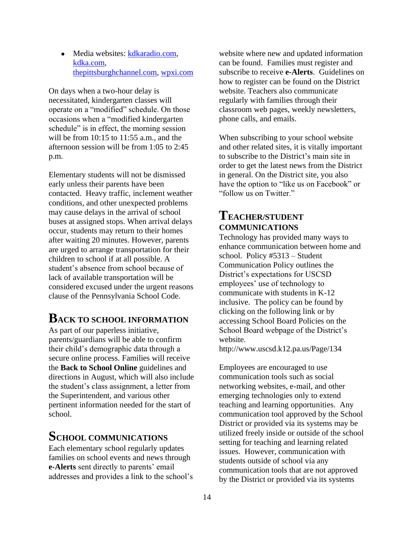• Media websites: [kdkaradio.com,](http://kdkaradio.com/) [kdka.com,](http://kdka.com/) [thepittsburghchannel.com,](http://thepittsburghchannel.com/) [wpxi.com](http://wpxi.com/)

On days when a two-hour delay is necessitated, kindergarten classes will operate on a "modified" schedule. On those occasions when a "modified kindergarten schedule" is in effect, the morning session will be from 10:15 to 11:55 a.m., and the afternoon session will be from 1:05 to 2:45 p.m.

Elementary students will not be dismissed early unless their parents have been contacted. Heavy traffic, inclement weather conditions, and other unexpected problems may cause delays in the arrival of school buses at assigned stops. When arrival delays occur, students may return to their homes after waiting 20 minutes. However, parents are urged to arrange transportation for their children to school if at all possible. A student's absence from school because of lack of available transportation will be considered excused under the urgent reasons clause of the Pennsylvania School Code.

### **BACK TO SCHOOL INFORMATION**

As part of our paperless initiative, parents/guardians will be able to confirm their child's demographic data through a secure online process. Families will receive the **Back to School Online** guidelines and directions in August, which will also include the student's class assignment, a letter from the Superintendent, and various other pertinent information needed for the start of school.

### **SCHOOL COMMUNICATIONS**

Each elementary school regularly updates families on school events and news through **e-Alerts** sent directly to parents' email addresses and provides a link to the school's website where new and updated information can be found. Families must register and subscribe to receive **e-Alerts**. Guidelines on how to register can be found on the District website. Teachers also communicate regularly with families through their classroom web pages, weekly newsletters, phone calls, and emails.

When subscribing to your school website and other related sites, it is vitally important to subscribe to the District's main site in order to get the latest news from the District in general. On the District site, you also have the option to "like us on Facebook" or "follow us on Twitter."

### **TEACHER/STUDENT COMMUNICATIONS**

Technology has provided many ways to enhance communication between home and school. Policy #5313 – Student Communication Policy outlines the District's expectations for USCSD employees' use of technology to communicate with students in K-12 inclusive. The policy can be found by clicking on the following link or by accessing School Board Policies on the School Board webpage of the District's website.

http://www.uscsd.k12.pa.us/Page/134

Employees are encouraged to use communication tools such as social networking websites, e-mail, and other emerging technologies only to extend teaching and learning opportunities. Any communication tool approved by the School District or provided via its systems may be utilized freely inside or outside of the school setting for teaching and learning related issues. However, communication with students outside of school via any communication tools that are not approved by the District or provided via its systems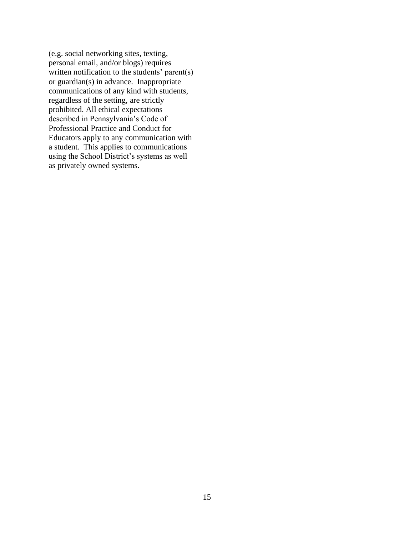(e.g. social networking sites, texting, personal email, and/or blogs) requires written notification to the students' parent(s) or guardian(s) in advance. Inappropriate communications of any kind with students, regardless of the setting, are strictly prohibited. All ethical expectations described in Pennsylvania's Code of Professional Practice and Conduct for Educators apply to any communication with a student. This applies to communications using the School District's systems as well as privately owned systems.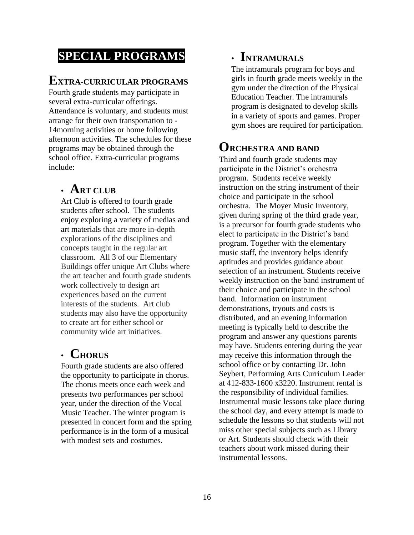## **SPECIAL PROGRAMS**

### **EXTRA-CURRICULAR PROGRAMS**

Fourth grade students may participate in several extra-curricular offerings. Attendance is voluntary, and students must arrange for their own transportation to - 14morning activities or home following afternoon activities. The schedules for these programs may be obtained through the school office. Extra-curricular programs include:

### • **ART CLUB**

Art Club is offered to fourth grade students after school. The students enjoy exploring a variety of medias and art materials that are more in-depth explorations of the disciplines and concepts taught in the regular art classroom. All 3 of our Elementary Buildings offer unique Art Clubs where the art teacher and fourth grade students work collectively to design art experiences based on the current interests of the students. Art club students may also have the opportunity to create art for either school or community wide art initiatives.

## • **CHORUS**

Fourth grade students are also offered the opportunity to participate in chorus. The chorus meets once each week and presents two performances per school year, under the direction of the Vocal Music Teacher. The winter program is presented in concert form and the spring performance is in the form of a musical with modest sets and costumes.

### • **INTRAMURALS**

The intramurals program for boys and girls in fourth grade meets weekly in the gym under the direction of the Physical Education Teacher. The intramurals program is designated to develop skills in a variety of sports and games. Proper gym shoes are required for participation.

### **ORCHESTRA AND BAND**

Third and fourth grade students may participate in the District's orchestra program. Students receive weekly instruction on the string instrument of their choice and participate in the school orchestra. The Moyer Music Inventory, given during spring of the third grade year, is a precursor for fourth grade students who elect to participate in the District's band program. Together with the elementary music staff, the inventory helps identify aptitudes and provides guidance about selection of an instrument. Students receive weekly instruction on the band instrument of their choice and participate in the school band. Information on instrument demonstrations, tryouts and costs is distributed, and an evening information meeting is typically held to describe the program and answer any questions parents may have. Students entering during the year may receive this information through the school office or by contacting Dr. John Seybert, Performing Arts Curriculum Leader at 412-833-1600 x3220. Instrument rental is the responsibility of individual families. Instrumental music lessons take place during the school day, and every attempt is made to schedule the lessons so that students will not miss other special subjects such as Library or Art. Students should check with their teachers about work missed during their instrumental lessons.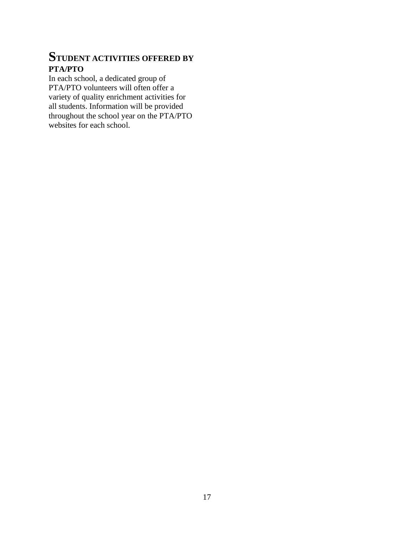### **STUDENT ACTIVITIES OFFERED BY PTA/PTO**

In each school, a dedicated group of PTA/PTO volunteers will often offer a variety of quality enrichment activities for all students. Information will be provided throughout the school year on the PTA/PTO websites for each school.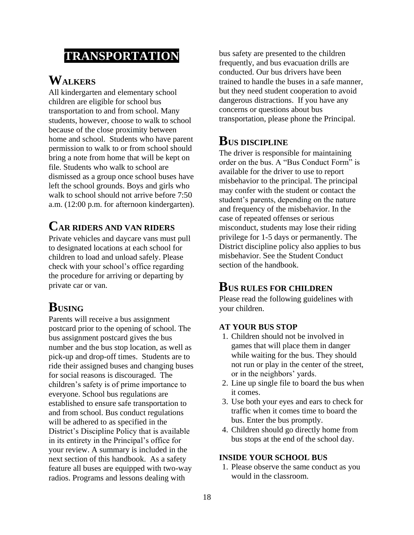## **TRANSPORTATION**

## **WALKERS**

All kindergarten and elementary school children are eligible for school bus transportation to and from school. Many students, however, choose to walk to school because of the close proximity between home and school. Students who have parent permission to walk to or from school should bring a note from home that will be kept on file. Students who walk to school are dismissed as a group once school buses have left the school grounds. Boys and girls who walk to school should not arrive before 7:50 a.m. (12:00 p.m. for afternoon kindergarten).

## **CAR RIDERS AND VAN RIDERS**

Private vehicles and daycare vans must pull to designated locations at each school for children to load and unload safely. Please check with your school's office regarding the procedure for arriving or departing by private car or van.

## **BUSING**

Parents will receive a bus assignment postcard prior to the opening of school. The bus assignment postcard gives the bus number and the bus stop location, as well as pick-up and drop-off times. Students are to ride their assigned buses and changing buses for social reasons is discouraged. The children's safety is of prime importance to everyone. School bus regulations are established to ensure safe transportation to and from school. Bus conduct regulations will be adhered to as specified in the District's Discipline Policy that is available in its entirety in the Principal's office for your review. A summary is included in the next section of this handbook. As a safety feature all buses are equipped with two-way radios. Programs and lessons dealing with

bus safety are presented to the children frequently, and bus evacuation drills are conducted. Our bus drivers have been trained to handle the buses in a safe manner, but they need student cooperation to avoid dangerous distractions. If you have any concerns or questions about bus transportation, please phone the Principal.

### **BUS DISCIPLINE**

The driver is responsible for maintaining order on the bus. A "Bus Conduct Form" is available for the driver to use to report misbehavior to the principal. The principal may confer with the student or contact the student's parents, depending on the nature and frequency of the misbehavior. In the case of repeated offenses or serious misconduct, students may lose their riding privilege for 1-5 days or permanently. The District discipline policy also applies to bus misbehavior. See the Student Conduct section of the handbook.

### **BUS RULES FOR CHILDREN**

Please read the following guidelines with your children.

#### **AT YOUR BUS STOP**

- 1. Children should not be involved in games that will place them in danger while waiting for the bus. They should not run or play in the center of the street, or in the neighbors' yards.
- 2. Line up single file to board the bus when it comes.
- 3. Use both your eyes and ears to check for traffic when it comes time to board the bus. Enter the bus promptly.
- 4. Children should go directly home from bus stops at the end of the school day.

#### **INSIDE YOUR SCHOOL BUS**

1. Please observe the same conduct as you would in the classroom.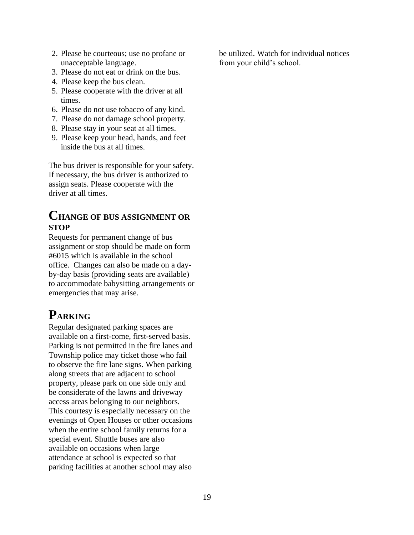- 2. Please be courteous; use no profane or unacceptable language.
- 3. Please do not eat or drink on the bus.
- 4. Please keep the bus clean.
- 5. Please cooperate with the driver at all times.
- 6. Please do not use tobacco of any kind.
- 7. Please do not damage school property.
- 8. Please stay in your seat at all times.
- 9. Please keep your head, hands, and feet inside the bus at all times.

The bus driver is responsible for your safety. If necessary, the bus driver is authorized to assign seats. Please cooperate with the driver at all times.

### **CHANGE OF BUS ASSIGNMENT OR STOP**

Requests for permanent change of bus assignment or stop should be made on form #6015 which is available in the school office. Changes can also be made on a dayby-day basis (providing seats are available) to accommodate babysitting arrangements or emergencies that may arise.

## **PARKING**

Regular designated parking spaces are available on a first-come, first-served basis. Parking is not permitted in the fire lanes and Township police may ticket those who fail to observe the fire lane signs. When parking along streets that are adjacent to school property, please park on one side only and be considerate of the lawns and driveway access areas belonging to our neighbors. This courtesy is especially necessary on the evenings of Open Houses or other occasions when the entire school family returns for a special event. Shuttle buses are also available on occasions when large attendance at school is expected so that parking facilities at another school may also

be utilized. Watch for individual notices from your child's school.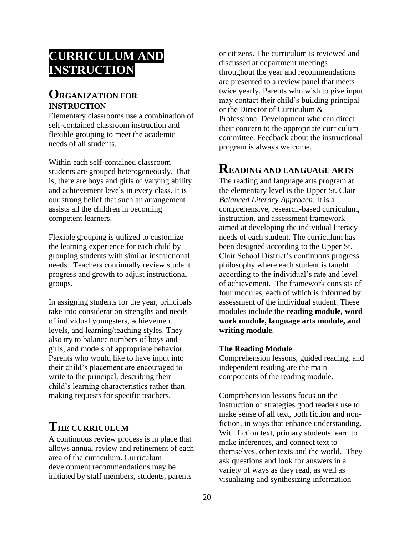## **CURRICULUM AND INSTRUCTION**

### **ORGANIZATION FOR INSTRUCTION**

Elementary classrooms use a combination of self-contained classroom instruction and flexible grouping to meet the academic needs of all students.

Within each self-contained classroom students are grouped heterogeneously. That is, there are boys and girls of varying ability and achievement levels in every class. It is our strong belief that such an arrangement assists all the children in becoming competent learners.

Flexible grouping is utilized to customize the learning experience for each child by grouping students with similar instructional needs. Teachers continually review student progress and growth to adjust instructional groups.

In assigning students for the year, principals take into consideration strengths and needs of individual youngsters, achievement levels, and learning/teaching styles. They also try to balance numbers of boys and girls, and models of appropriate behavior. Parents who would like to have input into their child's placement are encouraged to write to the principal, describing their child's learning characteristics rather than making requests for specific teachers.

## **THE CURRICULUM**

A continuous review process is in place that allows annual review and refinement of each area of the curriculum. Curriculum development recommendations may be initiated by staff members, students, parents

or citizens. The curriculum is reviewed and discussed at department meetings throughout the year and recommendations are presented to a review panel that meets twice yearly. Parents who wish to give input may contact their child's building principal or the Director of Curriculum & Professional Development who can direct their concern to the appropriate curriculum committee. Feedback about the instructional program is always welcome.

### **READING AND LANGUAGE ARTS**

The reading and language arts program at the elementary level is the Upper St. Clair *Balanced Literacy Approach*. It is a comprehensive, research-based curriculum, instruction, and assessment framework aimed at developing the individual literacy needs of each student. The curriculum has been designed according to the Upper St. Clair School District's continuous progress philosophy where each student is taught according to the individual's rate and level of achievement. The framework consists of four modules, each of which is informed by assessment of the individual student. These modules include the **reading module, word work module, language arts module, and writing module**.

#### **The Reading Module**

Comprehension lessons, guided reading, and independent reading are the main components of the reading module.

Comprehension lessons focus on the instruction of strategies good readers use to make sense of all text, both fiction and nonfiction, in ways that enhance understanding. With fiction text, primary students learn to make inferences, and connect text to themselves, other texts and the world. They ask questions and look for answers in a variety of ways as they read, as well as visualizing and synthesizing information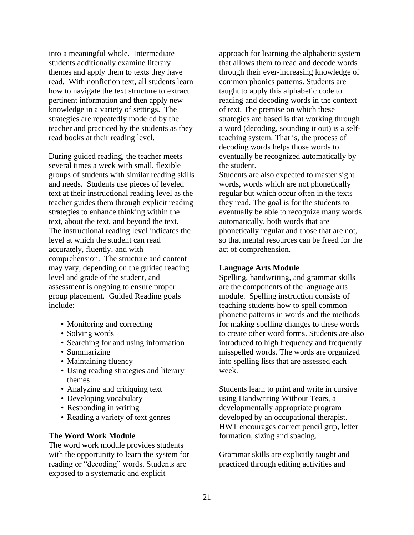into a meaningful whole. Intermediate students additionally examine literary themes and apply them to texts they have read. With nonfiction text, all students learn how to navigate the text structure to extract pertinent information and then apply new knowledge in a variety of settings. The strategies are repeatedly modeled by the teacher and practiced by the students as they read books at their reading level.

During guided reading, the teacher meets several times a week with small, flexible groups of students with similar reading skills and needs. Students use pieces of leveled text at their instructional reading level as the teacher guides them through explicit reading strategies to enhance thinking within the text, about the text, and beyond the text. The instructional reading level indicates the level at which the student can read accurately, fluently, and with comprehension. The structure and content may vary, depending on the guided reading level and grade of the student, and assessment is ongoing to ensure proper group placement. Guided Reading goals include:

- Monitoring and correcting
- Solving words
- Searching for and using information
- Summarizing
- Maintaining fluency
- Using reading strategies and literary themes
- Analyzing and critiquing text
- Developing vocabulary
- Responding in writing
- Reading a variety of text genres

#### **The Word Work Module**

The word work module provides students with the opportunity to learn the system for reading or "decoding" words. Students are exposed to a systematic and explicit

approach for learning the alphabetic system that allows them to read and decode words through their ever-increasing knowledge of common phonics patterns. Students are taught to apply this alphabetic code to reading and decoding words in the context of text. The premise on which these strategies are based is that working through a word (decoding, sounding it out) is a selfteaching system. That is, the process of decoding words helps those words to eventually be recognized automatically by the student.

Students are also expected to master sight words, words which are not phonetically regular but which occur often in the texts they read. The goal is for the students to eventually be able to recognize many words automatically, both words that are phonetically regular and those that are not, so that mental resources can be freed for the act of comprehension.

#### **Language Arts Module**

Spelling, handwriting, and grammar skills are the components of the language arts module. Spelling instruction consists of teaching students how to spell common phonetic patterns in words and the methods for making spelling changes to these words to create other word forms. Students are also introduced to high frequency and frequently misspelled words. The words are organized into spelling lists that are assessed each week.

Students learn to print and write in cursive using Handwriting Without Tears, a developmentally appropriate program developed by an occupational therapist. HWT encourages correct pencil grip, letter formation, sizing and spacing.

Grammar skills are explicitly taught and practiced through editing activities and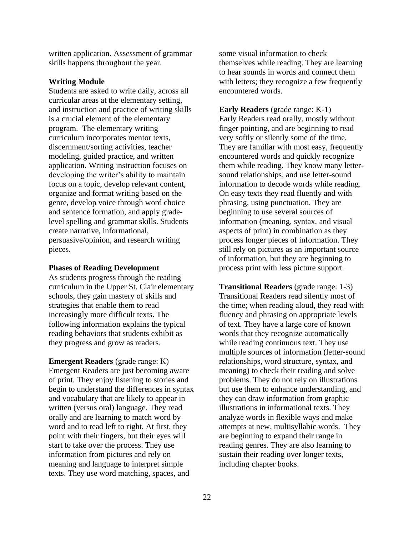written application. Assessment of grammar skills happens throughout the year.

#### **Writing Module**

Students are asked to write daily, across all curricular areas at the elementary setting, and instruction and practice of writing skills is a crucial element of the elementary program. The elementary writing curriculum incorporates mentor texts, discernment/sorting activities, teacher modeling, guided practice, and written application. Writing instruction focuses on developing the writer's ability to maintain focus on a topic, develop relevant content, organize and format writing based on the genre, develop voice through word choice and sentence formation, and apply gradelevel spelling and grammar skills. Students create narrative, informational, persuasive/opinion, and research writing pieces.

#### **Phases of Reading Development**

As students progress through the reading curriculum in the Upper St. Clair elementary schools, they gain mastery of skills and strategies that enable them to read increasingly more difficult texts. The following information explains the typical reading behaviors that students exhibit as they progress and grow as readers.

**Emergent Readers** (grade range: K) Emergent Readers are just becoming aware of print. They enjoy listening to stories and begin to understand the differences in syntax and vocabulary that are likely to appear in written (versus oral) language. They read orally and are learning to match word by word and to read left to right. At first, they point with their fingers, but their eyes will start to take over the process. They use information from pictures and rely on meaning and language to interpret simple texts. They use word matching, spaces, and

some visual information to check themselves while reading. They are learning to hear sounds in words and connect them with letters; they recognize a few frequently encountered words.

**Early Readers** (grade range: K-1) Early Readers read orally, mostly without finger pointing, and are beginning to read very softly or silently some of the time. They are familiar with most easy, frequently encountered words and quickly recognize them while reading. They know many lettersound relationships, and use letter-sound information to decode words while reading. On easy texts they read fluently and with phrasing, using punctuation. They are beginning to use several sources of information (meaning, syntax, and visual aspects of print) in combination as they process longer pieces of information. They still rely on pictures as an important source of information, but they are beginning to process print with less picture support.

**Transitional Readers** (grade range: 1-3) Transitional Readers read silently most of the time; when reading aloud, they read with fluency and phrasing on appropriate levels of text. They have a large core of known words that they recognize automatically while reading continuous text. They use multiple sources of information (letter-sound relationships, word structure, syntax, and meaning) to check their reading and solve problems. They do not rely on illustrations but use them to enhance understanding, and they can draw information from graphic illustrations in informational texts. They analyze words in flexible ways and make attempts at new, multisyllabic words. They are beginning to expand their range in reading genres. They are also learning to sustain their reading over longer texts, including chapter books.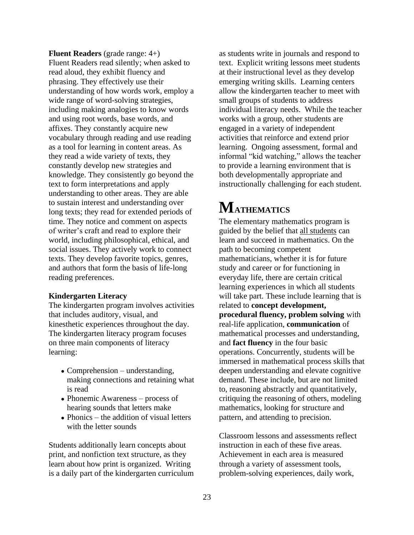**Fluent Readers** (grade range: 4+) Fluent Readers read silently; when asked to read aloud, they exhibit fluency and phrasing. They effectively use their understanding of how words work, employ a wide range of word-solving strategies, including making analogies to know words and using root words, base words, and affixes. They constantly acquire new vocabulary through reading and use reading as a tool for learning in content areas. As they read a wide variety of texts, they constantly develop new strategies and knowledge. They consistently go beyond the text to form interpretations and apply understanding to other areas. They are able to sustain interest and understanding over long texts; they read for extended periods of time. They notice and comment on aspects of writer's craft and read to explore their world, including philosophical, ethical, and social issues. They actively work to connect texts. They develop favorite topics, genres, and authors that form the basis of life-long reading preferences.

#### **Kindergarten Literacy**

The kindergarten program involves activities that includes auditory, visual, and kinesthetic experiences throughout the day. The kindergarten literacy program focuses on three main components of literacy learning:

- $\bullet$  Comprehension understanding, making connections and retaining what is read
- $\bullet$  Phonemic Awareness process of hearing sounds that letters make
- $\bullet$  Phonics the addition of visual letters with the letter sounds

Students additionally learn concepts about print, and nonfiction text structure, as they learn about how print is organized. Writing is a daily part of the kindergarten curriculum as students write in journals and respond to text. Explicit writing lessons meet students at their instructional level as they develop emerging writing skills. Learning centers allow the kindergarten teacher to meet with small groups of students to address individual literacy needs. While the teacher works with a group, other students are engaged in a variety of independent activities that reinforce and extend prior learning. Ongoing assessment, formal and informal "kid watching," allows the teacher to provide a learning environment that is both developmentally appropriate and instructionally challenging for each student.

# **MATHEMATICS**

The elementary mathematics program is guided by the belief that all students can learn and succeed in mathematics. On the path to becoming competent mathematicians, whether it is for future study and career or for functioning in everyday life, there are certain critical learning experiences in which all students will take part. These include learning that is related to **concept development, procedural fluency, problem solving** with real-life application, **communication** of mathematical processes and understanding, and **fact fluency** in the four basic operations. Concurrently, students will be immersed in mathematical process skills that deepen understanding and elevate cognitive demand. These include, but are not limited to, reasoning abstractly and quantitatively, critiquing the reasoning of others, modeling mathematics, looking for structure and pattern, and attending to precision.

Classroom lessons and assessments reflect instruction in each of these five areas. Achievement in each area is measured through a variety of assessment tools, problem-solving experiences, daily work,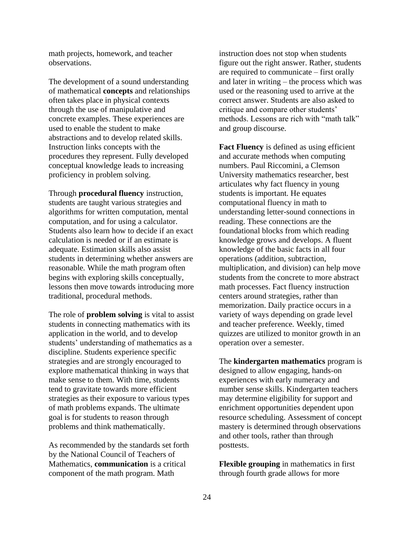math projects, homework, and teacher observations.

The development of a sound understanding of mathematical **concepts** and relationships often takes place in physical contexts through the use of manipulative and concrete examples. These experiences are used to enable the student to make abstractions and to develop related skills. Instruction links concepts with the procedures they represent. Fully developed conceptual knowledge leads to increasing proficiency in problem solving.

Through **procedural fluency** instruction, students are taught various strategies and algorithms for written computation, mental computation, and for using a calculator. Students also learn how to decide if an exact calculation is needed or if an estimate is adequate. Estimation skills also assist students in determining whether answers are reasonable. While the math program often begins with exploring skills conceptually, lessons then move towards introducing more traditional, procedural methods.

The role of **problem solving** is vital to assist students in connecting mathematics with its application in the world, and to develop students' understanding of mathematics as a discipline. Students experience specific strategies and are strongly encouraged to explore mathematical thinking in ways that make sense to them. With time, students tend to gravitate towards more efficient strategies as their exposure to various types of math problems expands. The ultimate goal is for students to reason through problems and think mathematically.

As recommended by the standards set forth by the National Council of Teachers of Mathematics, **communication** is a critical component of the math program. Math

instruction does not stop when students figure out the right answer. Rather, students are required to communicate – first orally and later in writing – the process which was used or the reasoning used to arrive at the correct answer. Students are also asked to critique and compare other students' methods. Lessons are rich with "math talk" and group discourse.

**Fact Fluency** is defined as using efficient and accurate methods when computing numbers. Paul Riccomini, a Clemson University mathematics researcher, best articulates why fact fluency in young students is important. He equates computational fluency in math to understanding letter-sound connections in reading. These connections are the foundational blocks from which reading knowledge grows and develops. A fluent knowledge of the basic facts in all four operations (addition, subtraction, multiplication, and division) can help move students from the concrete to more abstract math processes. Fact fluency instruction centers around strategies, rather than memorization. Daily practice occurs in a variety of ways depending on grade level and teacher preference. Weekly, timed quizzes are utilized to monitor growth in an operation over a semester.

The **kindergarten mathematics** program is designed to allow engaging, hands-on experiences with early numeracy and number sense skills. Kindergarten teachers may determine eligibility for support and enrichment opportunities dependent upon resource scheduling. Assessment of concept mastery is determined through observations and other tools, rather than through posttests.

**Flexible grouping** in mathematics in first through fourth grade allows for more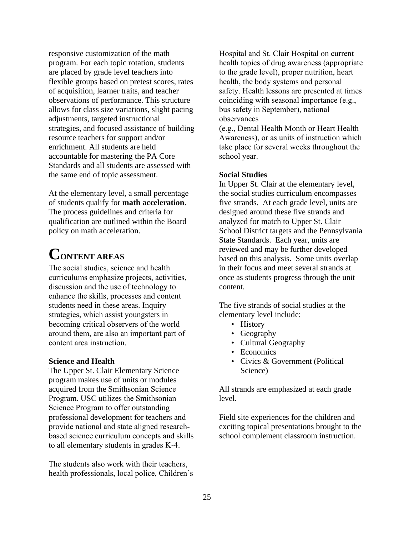responsive customization of the math program. For each topic rotation, students are placed by grade level teachers into flexible groups based on pretest scores, rates of acquisition, learner traits, and teacher observations of performance. This structure allows for class size variations, slight pacing adjustments, targeted instructional strategies, and focused assistance of building resource teachers for support and/or enrichment. All students are held accountable for mastering the PA Core Standards and all students are assessed with the same end of topic assessment.

At the elementary level, a small percentage of students qualify for **math acceleration**. The process guidelines and criteria for qualification are outlined within the Board policy on math acceleration.

# **CONTENT AREAS**

The social studies, science and health curriculums emphasize projects, activities, discussion and the use of technology to enhance the skills, processes and content students need in these areas. Inquiry strategies, which assist youngsters in becoming critical observers of the world around them, are also an important part of content area instruction.

#### **Science and Health**

The Upper St. Clair Elementary Science program makes use of units or modules acquired from the Smithsonian Science Program*.* USC utilizes the Smithsonian Science Program to offer outstanding professional development for teachers and provide national and state aligned researchbased science curriculum concepts and skills to all elementary students in grades K-4.

The students also work with their teachers, health professionals, local police, Children's Hospital and St. Clair Hospital on current health topics of drug awareness (appropriate to the grade level), proper nutrition, heart health, the body systems and personal safety. Health lessons are presented at times coinciding with seasonal importance (e.g., bus safety in September), national observances

(e.g., Dental Health Month or Heart Health Awareness), or as units of instruction which take place for several weeks throughout the school year.

#### **Social Studies**

In Upper St. Clair at the elementary level, the social studies curriculum encompasses five strands. At each grade level, units are designed around these five strands and analyzed for match to Upper St. Clair School District targets and the Pennsylvania State Standards. Each year, units are reviewed and may be further developed based on this analysis. Some units overlap in their focus and meet several strands at once as students progress through the unit content.

The five strands of social studies at the elementary level include:

- History
- Geography
- Cultural Geography
- Economics
- Civics & Government (Political Science)

All strands are emphasized at each grade level.

Field site experiences for the children and exciting topical presentations brought to the school complement classroom instruction.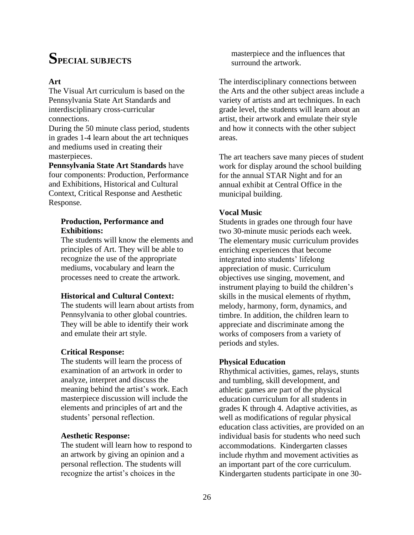# **SPECIAL SUBJECTS**

#### **Art**

The Visual Art curriculum is based on the Pennsylvania State Art Standards and interdisciplinary cross-curricular connections.

During the 50 minute class period, students in grades 1-4 learn about the art techniques and mediums used in creating their masterpieces.

**Pennsylvania State Art Standards** have four components: Production, Performance and Exhibitions, Historical and Cultural Context, Critical Response and Aesthetic Response.

#### **Production, Performance and Exhibitions:**

The students will know the elements and principles of Art. They will be able to recognize the use of the appropriate mediums, vocabulary and learn the processes need to create the artwork.

#### **Historical and Cultural Context:**

The students will learn about artists from Pennsylvania to other global countries. They will be able to identify their work and emulate their art style.

#### **Critical Response:**

The students will learn the process of examination of an artwork in order to analyze, interpret and discuss the meaning behind the artist's work. Each masterpiece discussion will include the elements and principles of art and the students' personal reflection.

#### **Aesthetic Response:**

The student will learn how to respond to an artwork by giving an opinion and a personal reflection. The students will recognize the artist's choices in the

masterpiece and the influences that surround the artwork.

The interdisciplinary connections between the Arts and the other subject areas include a variety of artists and art techniques. In each grade level, the students will learn about an artist, their artwork and emulate their style and how it connects with the other subject areas.

The art teachers save many pieces of student work for display around the school building for the annual STAR Night and for an annual exhibit at Central Office in the municipal building.

#### **Vocal Music**

Students in grades one through four have two 30-minute music periods each week. The elementary music curriculum provides enriching experiences that become integrated into students' lifelong appreciation of music. Curriculum objectives use singing, movement, and instrument playing to build the children's skills in the musical elements of rhythm, melody, harmony, form, dynamics, and timbre. In addition, the children learn to appreciate and discriminate among the works of composers from a variety of periods and styles.

#### **Physical Education**

Rhythmical activities, games, relays, stunts and tumbling, skill development, and athletic games are part of the physical education curriculum for all students in grades K through 4. Adaptive activities, as well as modifications of regular physical education class activities, are provided on an individual basis for students who need such accommodations. Kindergarten classes include rhythm and movement activities as an important part of the core curriculum. Kindergarten students participate in one 30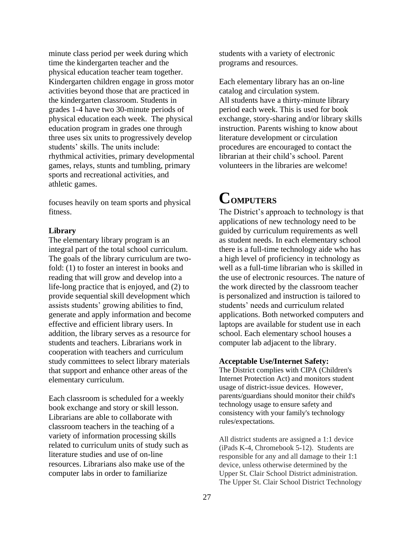minute class period per week during which time the kindergarten teacher and the physical education teacher team together. Kindergarten children engage in gross motor activities beyond those that are practiced in the kindergarten classroom. Students in grades 1-4 have two 30-minute periods of physical education each week. The physical education program in grades one through three uses six units to progressively develop students' skills. The units include: rhythmical activities, primary developmental games, relays, stunts and tumbling, primary sports and recreational activities, and athletic games.

focuses heavily on team sports and physical fitness.

#### **Library**

The elementary library program is an integral part of the total school curriculum. The goals of the library curriculum are twofold: (1) to foster an interest in books and reading that will grow and develop into a life-long practice that is enjoyed, and (2) to provide sequential skill development which assists students' growing abilities to find, generate and apply information and become effective and efficient library users. In addition, the library serves as a resource for students and teachers. Librarians work in cooperation with teachers and curriculum study committees to select library materials that support and enhance other areas of the elementary curriculum.

Each classroom is scheduled for a weekly book exchange and story or skill lesson. Librarians are able to collaborate with classroom teachers in the teaching of a variety of information processing skills related to curriculum units of study such as literature studies and use of on-line resources. Librarians also make use of the computer labs in order to familiarize

students with a variety of electronic programs and resources.

Each elementary library has an on-line catalog and circulation system. All students have a thirty-minute library period each week. This is used for book exchange, story-sharing and/or library skills instruction. Parents wishing to know about literature development or circulation procedures are encouraged to contact the librarian at their child's school. Parent volunteers in the libraries are welcome!

# **COMPUTERS**

The District's approach to technology is that applications of new technology need to be guided by curriculum requirements as well as student needs. In each elementary school there is a full-time technology aide who has a high level of proficiency in technology as well as a full-time librarian who is skilled in the use of electronic resources. The nature of the work directed by the classroom teacher is personalized and instruction is tailored to students' needs and curriculum related applications. Both networked computers and laptops are available for student use in each school. Each elementary school houses a computer lab adjacent to the library.

#### **Acceptable Use/Internet Safety:**

The District complies with CIPA (Children's Internet Protection Act) and monitors student usage of district-issue devices. However, parents/guardians should monitor their child's technology usage to ensure safety and consistency with your family's technology rules/expectations.

All district students are assigned a 1:1 device (iPads K-4, Chromebook 5-12). Students are responsible for any and all damage to their 1:1 device, unless otherwise determined by the Upper St. Clair School District administration. The Upper St. Clair School District Technology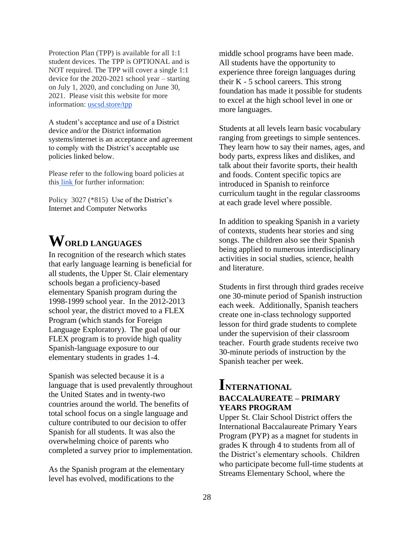Protection Plan (TPP) is available for all 1:1 student devices. The TPP is OPTIONAL and is NOT required. The TPP will cover a single 1:1 device for the 2020-2021 school year – starting on July 1, 2020, and concluding on June 30, 2021. Please visit this website for more information[: uscsd.store/tpp](http://uscsd.store/tpp)

A student's acceptance and use of a District device and/or the District information systems/internet is an acceptance and agreement to comply with the District's acceptable use policies linked below.

Please refer to the following board policies at this [link f](https://www.uscsd.k12.pa.us/Page/12895)or further information:

Policy 3027 (\*815) Use of the District's Internet and Computer Networks

# **WORLD LANGUAGES**

In recognition of the research which states that early language learning is beneficial for all students, the Upper St. Clair elementary schools began a proficiency-based elementary Spanish program during the 1998-1999 school year. In the 2012-2013 school year, the district moved to a FLEX Program (which stands for Foreign Language Exploratory). The goal of our FLEX program is to provide high quality Spanish-language exposure to our elementary students in grades 1-4.

Spanish was selected because it is a language that is used prevalently throughout the United States and in twenty-two countries around the world. The benefits of total school focus on a single language and culture contributed to our decision to offer Spanish for all students. It was also the overwhelming choice of parents who completed a survey prior to implementation.

As the Spanish program at the elementary level has evolved, modifications to the

middle school programs have been made. All students have the opportunity to experience three foreign languages during their K - 5 school careers. This strong foundation has made it possible for students to excel at the high school level in one or more languages.

Students at all levels learn basic vocabulary ranging from greetings to simple sentences. They learn how to say their names, ages, and body parts, express likes and dislikes, and talk about their favorite sports, their health and foods. Content specific topics are introduced in Spanish to reinforce curriculum taught in the regular classrooms at each grade level where possible.

In addition to speaking Spanish in a variety of contexts, students hear stories and sing songs. The children also see their Spanish being applied to numerous interdisciplinary activities in social studies, science, health and literature.

Students in first through third grades receive one 30-minute period of Spanish instruction each week. Additionally, Spanish teachers create one in-class technology supported lesson for third grade students to complete under the supervision of their classroom teacher. Fourth grade students receive two 30-minute periods of instruction by the Spanish teacher per week.

### **INTERNATIONAL BACCALAUREATE – PRIMARY YEARS PROGRAM**

Upper St. Clair School District offers the International Baccalaureate Primary Years Program (PYP) as a magnet for students in grades K through 4 to students from all of the District's elementary schools. Children who participate become full-time students at Streams Elementary School, where the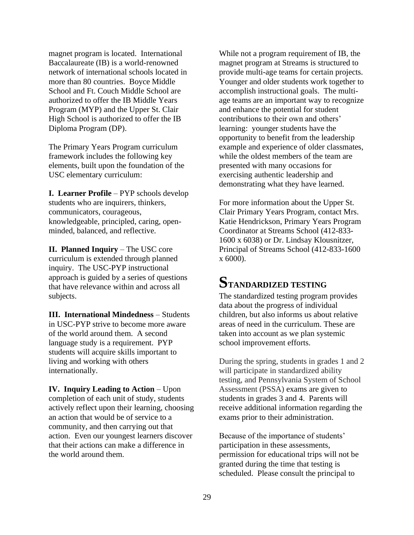magnet program is located. International Baccalaureate (IB) is a world-renowned network of international schools located in more than 80 countries. Boyce Middle School and Ft. Couch Middle School are authorized to offer the IB Middle Years Program (MYP) and the Upper St. Clair High School is authorized to offer the IB Diploma Program (DP).

The Primary Years Program curriculum framework includes the following key elements, built upon the foundation of the USC elementary curriculum:

**I. Learner Profile** – PYP schools develop students who are inquirers, thinkers, communicators, courageous, knowledgeable, principled, caring, openminded, balanced, and reflective.

**II. Planned Inquiry** – The USC core curriculum is extended through planned inquiry. The USC-PYP instructional approach is guided by a series of questions that have relevance within and across all subjects.

**III. International Mindedness** – Students in USC-PYP strive to become more aware of the world around them. A second language study is a requirement. PYP students will acquire skills important to living and working with others internationally.

**IV. Inquiry Leading to Action** – Upon completion of each unit of study, students actively reflect upon their learning, choosing an action that would be of service to a community, and then carrying out that action. Even our youngest learners discover that their actions can make a difference in the world around them.

While not a program requirement of IB, the magnet program at Streams is structured to provide multi-age teams for certain projects. Younger and older students work together to accomplish instructional goals. The multiage teams are an important way to recognize and enhance the potential for student contributions to their own and others' learning: younger students have the opportunity to benefit from the leadership example and experience of older classmates, while the oldest members of the team are presented with many occasions for exercising authentic leadership and demonstrating what they have learned.

For more information about the Upper St. Clair Primary Years Program, contact Mrs. Katie Hendrickson, Primary Years Program Coordinator at Streams School (412-833- 1600 x 6038) or Dr. Lindsay Klousnitzer, Principal of Streams School (412-833-1600 x 6000).

## **STANDARDIZED TESTING**

The standardized testing program provides data about the progress of individual children, but also informs us about relative areas of need in the curriculum. These are taken into account as we plan systemic school improvement efforts.

During the spring, students in grades 1 and 2 will participate in standardized ability testing, and Pennsylvania System of School Assessment (PSSA) exams are given to students in grades 3 and 4. Parents will receive additional information regarding the exams prior to their administration.

Because of the importance of students' participation in these assessments, permission for educational trips will not be granted during the time that testing is scheduled. Please consult the principal to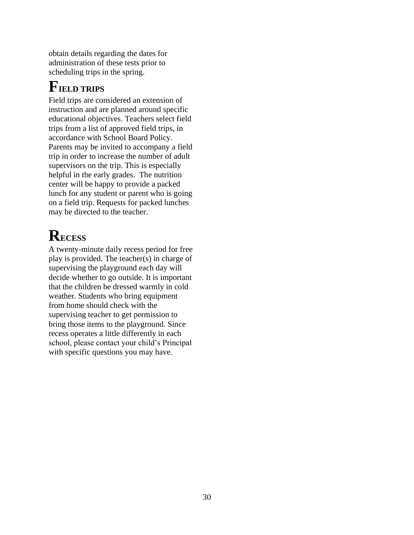obtain details regarding the dates for administration of these tests prior to scheduling trips in the spring.

# **FIELD TRIPS**

Field trips are considered an extension of instruction and are planned around specific educational objectives. Teachers select field trips from a list of approved field trips, in accordance with School Board Policy. Parents may be invited to accompany a field trip in order to increase the number of adult supervisors on the trip. This is especially helpful in the early grades. The nutrition center will be happy to provide a packed lunch for any student or parent who is going on a field trip. Requests for packed lunches may be directed to the teacher.

# **RECESS**

A twenty-minute daily recess period for free play is provided. The teacher(s) in charge of supervising the playground each day will decide whether to go outside. It is important that the children be dressed warmly in cold weather. Students who bring equipment from home should check with the supervising teacher to get permission to bring those items to the playground. Since recess operates a little differently in each school, please contact your child's Principal with specific questions you may have.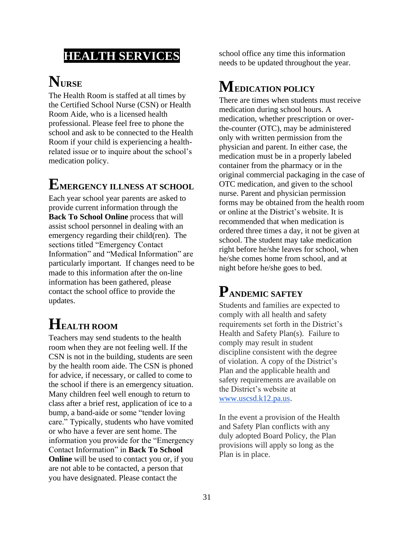## **HEALTH SERVICES**

# **NURSE**

The Health Room is staffed at all times by the Certified School Nurse (CSN) or Health Room Aide, who is a licensed health professional. Please feel free to phone the school and ask to be connected to the Health Room if your child is experiencing a healthrelated issue or to inquire about the school's medication policy.

# **EMERGENCY ILLNESS AT SCHOOL**

Each year school year parents are asked to provide current information through the **Back To School Online** process that will assist school personnel in dealing with an emergency regarding their child(ren). The sections titled "Emergency Contact Information" and "Medical Information" are particularly important. If changes need to be made to this information after the on-line information has been gathered, please contact the school office to provide the updates.

# **HEALTH ROOM**

Teachers may send students to the health room when they are not feeling well. If the CSN is not in the building, students are seen by the health room aide. The CSN is phoned for advice, if necessary, or called to come to the school if there is an emergency situation. Many children feel well enough to return to class after a brief rest, application of ice to a bump, a band-aide or some "tender loving care." Typically, students who have vomited or who have a fever are sent home. The information you provide for the "Emergency Contact Information" in **Back To School Online** will be used to contact you or, if you are not able to be contacted, a person that you have designated. Please contact the

school office any time this information needs to be updated throughout the year.

# **MEDICATION POLICY**

There are times when students must receive medication during school hours. A medication, whether prescription or overthe-counter (OTC), may be administered only with written permission from the physician and parent. In either case, the medication must be in a properly labeled container from the pharmacy or in the original commercial packaging in the case of OTC medication, and given to the school nurse. Parent and physician permission forms may be obtained from the health room or online at the District's website. It is recommended that when medication is ordered three times a day, it not be given at school. The student may take medication right before he/she leaves for school, when he/she comes home from school, and at night before he/she goes to bed.

## **PANDEMIC SAFTEY**

Students and families are expected to comply with all health and safety requirements set forth in the District's Health and Safety Plan(s). Failure to comply may result in student discipline consistent with the degree of violation. A copy of the District's Plan and the applicable health and safety requirements are available on the District's website at [www.uscsd.k12.pa.us.](http://www.uscsd.k12.pa.us/)

In the event a provision of the Health and Safety Plan conflicts with any duly adopted Board Policy, the Plan provisions will apply so long as the Plan is in place.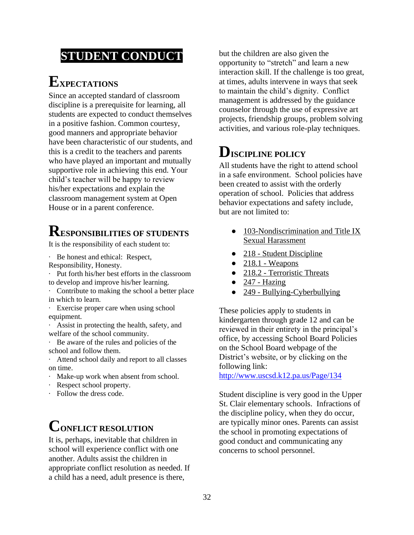## **STUDENT CONDUCT**

# **EXPECTATIONS**

Since an accepted standard of classroom discipline is a prerequisite for learning, all students are expected to conduct themselves in a positive fashion. Common courtesy, good manners and appropriate behavior have been characteristic of our students, and this is a credit to the teachers and parents who have played an important and mutually supportive role in achieving this end. Your child's teacher will be happy to review his/her expectations and explain the classroom management system at Open House or in a parent conference.

# **RESPONSIBILITIES OF STUDENTS**

It is the responsibility of each student to:

· Be honest and ethical: Respect, Responsibility, Honesty.

Put forth his/her best efforts in the classroom to develop and improve his/her learning.

Contribute to making the school a better place in which to learn.

· Exercise proper care when using school equipment.

· Assist in protecting the health, safety, and welfare of the school community.

· Be aware of the rules and policies of the school and follow them.

· Attend school daily and report to all classes on time.

- · Make-up work when absent from school.
- Respect school property.
- · Follow the dress code.

# **CONFLICT RESOLUTION**

It is, perhaps, inevitable that children in school will experience conflict with one another. Adults assist the children in appropriate conflict resolution as needed. If a child has a need, adult presence is there,

but the children are also given the opportunity to "stretch" and learn a new interaction skill. If the challenge is too great, at times, adults intervene in ways that seek to maintain the child's dignity. Conflict management is addressed by the guidance counselor through the use of expressive art projects, friendship groups, problem solving activities, and various role-play techniques.

# **DISCIPLINE POLICY**

All students have the right to attend school in a safe environment. School policies have been created to assist with the orderly operation of school. Policies that address behavior expectations and safety include, but are not limited to:

- 103-Nondiscrimination and Title IX [Sexual Harassment](https://www.uscsd.k12.pa.us/cms/lib/PA01000033/Centricity/Domain/17/103%20-%20Discrimination-Title%20IX%20Sexual%20Harassment%20Affecting%20Students.pdf)
- 218 [Student Discipline](https://www.uscsd.k12.pa.us/cms/lib/PA01000033/Centricity/Domain/17/218%20-%20Student%20Discipline.pdf)
- $\bullet$  218.1 [Weapons](https://www.uscsd.k12.pa.us/cms/lib/PA01000033/Centricity/Domain/17/218.1%20-%20Weapons.pdf)
- 218.2 [Terroristic Threats](https://www.uscsd.k12.pa.us/cms/lib/PA01000033/Centricity/Domain/17/218.2%20-%20Terroristic%20Threats.pdf)
- $\bullet$  247 [Hazing](https://www.uscsd.k12.pa.us/cms/lib/PA01000033/Centricity/Domain/17/247%20-%20Hazing.pdf)
- 249 [Bullying-Cyberbullying](https://www.uscsd.k12.pa.us/cms/lib/PA01000033/Centricity/Domain/17/249%20-%20Bullying-Cyberbullying.pdf)

These policies apply to students in kindergarten through grade 12 and can be reviewed in their entirety in the principal's office, by accessing School Board Policies on the School Board webpage of the District's website, or by clicking on the following link:

<http://www.uscsd.k12.pa.us/Page/134>

Student discipline is very good in the Upper St. Clair elementary schools. Infractions of the discipline policy, when they do occur, are typically minor ones. Parents can assist the school in promoting expectations of good conduct and communicating any concerns to school personnel.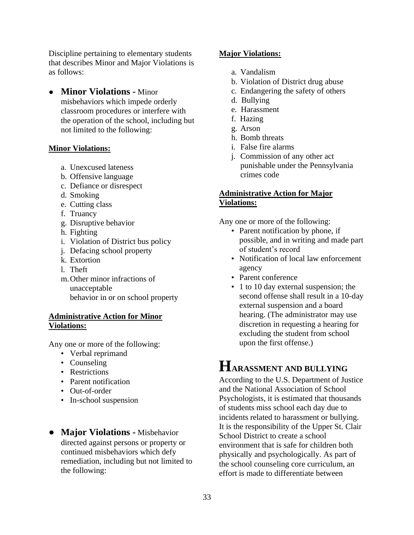Discipline pertaining to elementary students that describes Minor and Major Violations is as follows:

● **Minor Violations -** Minor misbehaviors which impede orderly classroom procedures or interfere with the operation of the school, including but

not limited to the following:

#### **Minor Violations:**

- a. Unexcused lateness
- b. Offensive language
- c. Defiance or disrespect
- d. Smoking
- e. Cutting class
- f. Truancy
- g. Disruptive behavior
- h. Fighting
- i. Violation of District bus policy
- j. Defacing school property
- k. Extortion
- l. Theft
- m.Other minor infractions of unacceptable behavior in or on school property

#### **Administrative Action for Minor Violations:**

Any one or more of the following:

- Verbal reprimand
- Counseling
- Restrictions
- Parent notification
- Out-of-order
- In-school suspension
- **Major Violations -** Misbehavior directed against persons or property or continued misbehaviors which defy remediation, including but not limited to the following:

#### **Major Violations:**

- a. Vandalism
- b. Violation of District drug abuse
- c. Endangering the safety of others
- d. Bullying
- e. Harassment
- f. Hazing
- g. Arson
- h. Bomb threats
- i. False fire alarms
- j. Commission of any other act punishable under the Pennsylvania crimes code

#### **Administrative Action for Major Violations:**

Any one or more of the following:

- Parent notification by phone, if possible, and in writing and made part of student's record
- Notification of local law enforcement agency
- Parent conference
- 1 to 10 day external suspension; the second offense shall result in a 10-day external suspension and a board hearing. (The administrator may use discretion in requesting a hearing for excluding the student from school upon the first offense.)

## **HARASSMENT AND BULLYING**

According to the U.S. Department of Justice and the National Association of School Psychologists, it is estimated that thousands of students miss school each day due to incidents related to harassment or bullying. It is the responsibility of the Upper St. Clair School District to create a school environment that is safe for children both physically and psychologically. As part of the school counseling core curriculum, an effort is made to differentiate between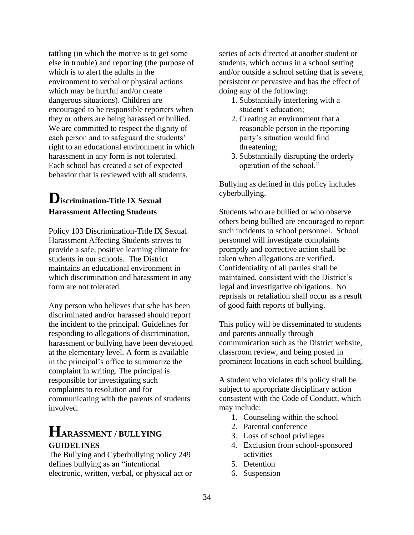tattling (in which the motive is to get some else in trouble) and reporting (the purpose of which is to alert the adults in the environment to verbal or physical actions which may be hurtful and/or create dangerous situations). Children are encouraged to be responsible reporters when they or others are being harassed or bullied. We are committed to respect the dignity of each person and to safeguard the students' right to an educational environment in which harassment in any form is not tolerated. Each school has created a set of expected behavior that is reviewed with all students.

### **Discrimination-Title IX Sexual Harassment Affecting Students**

Policy 103 Discrimination-Title IX Sexual Harassment Affecting Students strives to provide a safe, positive learning climate for students in our schools. The District maintains an educational environment in which discrimination and harassment in any form are not tolerated.

Any person who believes that s/he has been discriminated and/or harassed should report the incident to the principal. Guidelines for responding to allegations of discrimination, harassment or bullying have been developed at the elementary level. A form is available in the principal's office to summarize the complaint in writing. The principal is responsible for investigating such complaints to resolution and for communicating with the parents of students involved.

### **HARASSMENT / BULLYING GUIDELINES**

The Bullying and Cyberbullying policy 249 defines bullying as an "intentional electronic, written, verbal, or physical act or series of acts directed at another student or students, which occurs in a school setting and/or outside a school setting that is severe, persistent or pervasive and has the effect of doing any of the following:

- 1. Substantially interfering with a student's education;
- 2. Creating an environment that a reasonable person in the reporting party's situation would find threatening;
- 3. Substantially disrupting the orderly operation of the school."

Bullying as defined in this policy includes cyberbullying.

Students who are bullied or who observe others being bullied are encouraged to report such incidents to school personnel. School personnel will investigate complaints promptly and corrective action shall be taken when allegations are verified. Confidentiality of all parties shall be maintained, consistent with the District's legal and investigative obligations. No reprisals or retaliation shall occur as a result of good faith reports of bullying.

This policy will be disseminated to students and parents annually through communication such as the District website, classroom review, and being posted in prominent locations in each school building.

A student who violates this policy shall be subject to appropriate disciplinary action consistent with the Code of Conduct, which may include:

- 1. Counseling within the school
- 2. Parental conference
- 3. Loss of school privileges
- 4. Exclusion from school-sponsored activities
- 5. Detention
- 6. Suspension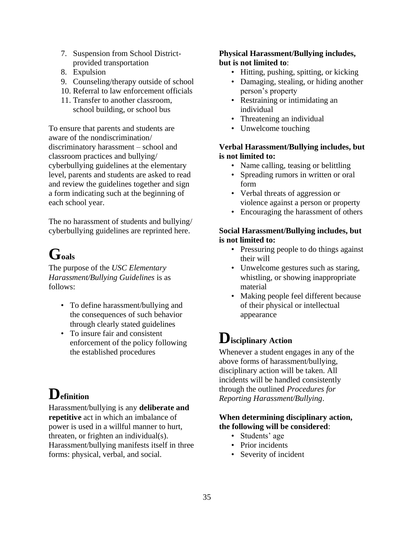- 7. Suspension from School Districtprovided transportation
- 8. Expulsion
- 9. Counseling/therapy outside of school
- 10. Referral to law enforcement officials
- 11. Transfer to another classroom, school building, or school bus

To ensure that parents and students are aware of the nondiscrimination/ discriminatory harassment – school and classroom practices and bullying/ cyberbullying guidelines at the elementary level, parents and students are asked to read and review the guidelines together and sign a form indicating such at the beginning of each school year.

The no harassment of students and bullying/ cyberbullying guidelines are reprinted here.

# **Goals**

The purpose of the *USC Elementary Harassment/Bullying Guidelines* is as follows:

- To define harassment/bullying and the consequences of such behavior through clearly stated guidelines
- To insure fair and consistent enforcement of the policy following the established procedures

# **Definition**

Harassment/bullying is any **deliberate and repetitive** act in which an imbalance of power is used in a willful manner to hurt, threaten, or frighten an individual(s). Harassment/bullying manifests itself in three forms: physical, verbal, and social.

#### **Physical Harassment/Bullying includes, but is not limited to**:

- Hitting, pushing, spitting, or kicking
- Damaging, stealing, or hiding another person's property
- Restraining or intimidating an individual
- Threatening an individual
- Unwelcome touching

#### **Verbal Harassment/Bullying includes, but is not limited to:**

- Name calling, teasing or belittling
- Spreading rumors in written or oral form
- Verbal threats of aggression or violence against a person or property
- Encouraging the harassment of others

#### **Social Harassment/Bullying includes, but is not limited to:**

- Pressuring people to do things against their will
- Unwelcome gestures such as staring, whistling, or showing inappropriate material
- Making people feel different because of their physical or intellectual appearance

## **Disciplinary Action**

Whenever a student engages in any of the above forms of harassment/bullying, disciplinary action will be taken. All incidents will be handled consistently through the outlined *Procedures for Reporting Harassment/Bullying*.

#### **When determining disciplinary action, the following will be considered**:

- Students' age
- Prior incidents
- Severity of incident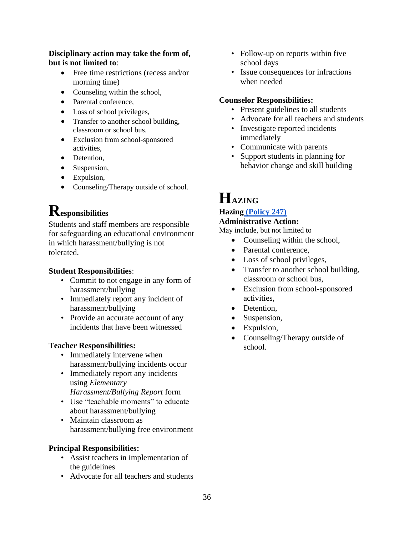#### **Disciplinary action may take the form of, but is not limited to**:

- Free time restrictions (recess and/or morning time)
- Counseling within the school,
- Parental conference.
- Loss of school privileges,
- Transfer to another school building, classroom or school bus.
- Exclusion from school-sponsored activities,
- Detention.
- Suspension,
- Expulsion,
- Counseling/Therapy outside of school.

# **Responsibilities**

Students and staff members are responsible for safeguarding an educational environment in which harassment/bullying is not tolerated.

#### **Student Responsibilities**:

- Commit to not engage in any form of harassment/bullying
- Immediately report any incident of harassment/bullying
- Provide an accurate account of any incidents that have been witnessed

#### **Teacher Responsibilities:**

- Immediately intervene when harassment/bullying incidents occur
- Immediately report any incidents using *Elementary Harassment/Bullying Report* form
- Use "teachable moments" to educate about harassment/bullying
- Maintain classroom as harassment/bullying free environment

#### **Principal Responsibilities:**

- Assist teachers in implementation of the guidelines
- Advocate for all teachers and students
- Follow-up on reports within five school days
- Issue consequences for infractions when needed

#### **Counselor Responsibilities:**

- Present guidelines to all students
- Advocate for all teachers and students
- Investigate reported incidents immediately
- Communicate with parents
- Support students in planning for behavior change and skill building

# **HAZING**

#### **Hazing [\(Policy 247\)](https://www.uscsd.k12.pa.us/Page/134)**

**Administrative Action:**

May include, but not limited to

- Counseling within the school,
- Parental conference,
- Loss of school privileges,
- Transfer to another school building, classroom or school bus,
- Exclusion from school-sponsored activities,
- Detention,
- Suspension,
- Expulsion,
- Counseling/Therapy outside of school.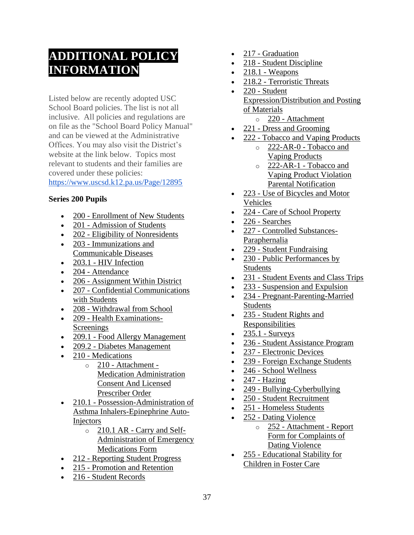## **ADDITIONAL POLICY INFORMATION**

Listed below are recently adopted USC School Board policies. The list is not all inclusive. All policies and regulations are on file as the "School Board Policy Manual" and can be viewed at the Administrative Offices. You may also visit the District's website at the link below. Topics most relevant to students and their families are covered under these policies: <https://www.uscsd.k12.pa.us/Page/12895>

#### **Series 200 Pupils**

- 200 [Enrollment of New Students](https://www.uscsd.k12.pa.us/cms/lib/PA01000033/Centricity/Domain/17/200%20-%20Enrollment%20of%20New%20Students.pdf)
- 201 [Admission of Students](https://www.uscsd.k12.pa.us/cms/lib/PA01000033/Centricity/Domain/17/201%20-%20Admission%20of%20Students.pdf)
- 202 [Eligibility of Nonresidents](https://www.uscsd.k12.pa.us/cms/lib/PA01000033/Centricity/Domain/17/202%20-%20Eligibility%20of%20Nonresidents.pdf)
- 203 [Immunizations and](https://www.uscsd.k12.pa.us/cms/lib/PA01000033/Centricity/Domain/17/203%20-%20Immunizations%20and%20Communicable%20Diseases.pdf)  [Communicable Diseases](https://www.uscsd.k12.pa.us/cms/lib/PA01000033/Centricity/Domain/17/203%20-%20Immunizations%20and%20Communicable%20Diseases.pdf)
- 203.1 [HIV Infection](https://www.uscsd.k12.pa.us/cms/lib/PA01000033/Centricity/Domain/17/203.1%20-%20HIV%20Infection.pdf)
- 204 [Attendance](https://www.uscsd.k12.pa.us/cms/lib/PA01000033/Centricity/Domain/17/204%20-%20Attendance.pdf)
- 206 [Assignment Within District](https://www.uscsd.k12.pa.us/cms/lib/PA01000033/Centricity/Domain/17/206%20-%20Assignment%20Within%20District.pdf)
- 207 [Confidential Communications](https://www.uscsd.k12.pa.us/cms/lib/PA01000033/Centricity/Domain/17/207%20-%20Confidential%20Communications%20with%20Students.pdf)  [with Students](https://www.uscsd.k12.pa.us/cms/lib/PA01000033/Centricity/Domain/17/207%20-%20Confidential%20Communications%20with%20Students.pdf)
- 208 [Withdrawal from School](https://www.uscsd.k12.pa.us/cms/lib/PA01000033/Centricity/Domain/17/208%20-%20Withdrawal%20from%20School.pdf)
- 209 [Health Examinations-](https://www.uscsd.k12.pa.us/cms/lib/PA01000033/Centricity/Domain/17/209%20-%20Health%20Examinations-Screenings.pdf)**[Screenings](https://www.uscsd.k12.pa.us/cms/lib/PA01000033/Centricity/Domain/17/209%20-%20Health%20Examinations-Screenings.pdf)**
- 209.1 [Food Allergy Management](https://www.uscsd.k12.pa.us/cms/lib/PA01000033/Centricity/Domain/17/209.1%20-%20Food%20Allergy%20Management.pdf)
- 209.2 [Diabetes Management](https://www.uscsd.k12.pa.us/cms/lib/PA01000033/Centricity/Domain/17/209.2%20-%20Diabetes%20Management.pdf)
- 210 [Medications](https://www.uscsd.k12.pa.us/cms/lib/PA01000033/Centricity/Domain/17/210%20-%20Medications.pdf)
	- o 210 [Attachment -](https://www.uscsd.k12.pa.us/cms/lib/PA01000033/Centricity/Domain/17/210%20-%20Attachment%20-%20Medication%20Administration%20Consent%20And%20Licensed%20Prescriber%20Order.pdf) [Medication Administration](https://www.uscsd.k12.pa.us/cms/lib/PA01000033/Centricity/Domain/17/210%20-%20Attachment%20-%20Medication%20Administration%20Consent%20And%20Licensed%20Prescriber%20Order.pdf)  [Consent And](https://www.uscsd.k12.pa.us/cms/lib/PA01000033/Centricity/Domain/17/210%20-%20Attachment%20-%20Medication%20Administration%20Consent%20And%20Licensed%20Prescriber%20Order.pdf) Licensed [Prescriber Order](https://www.uscsd.k12.pa.us/cms/lib/PA01000033/Centricity/Domain/17/210%20-%20Attachment%20-%20Medication%20Administration%20Consent%20And%20Licensed%20Prescriber%20Order.pdf)
- 210.1 [Possession-Administration of](https://www.uscsd.k12.pa.us/cms/lib/PA01000033/Centricity/Domain/17/210.1%20-%20Possession-Administration%20of%20Asthma%20Inhalers-Epinephrine%20Auto-Injectors.pdf)  [Asthma Inhalers-Epinephrine Auto-](https://www.uscsd.k12.pa.us/cms/lib/PA01000033/Centricity/Domain/17/210.1%20-%20Possession-Administration%20of%20Asthma%20Inhalers-Epinephrine%20Auto-Injectors.pdf)**[Injectors](https://www.uscsd.k12.pa.us/cms/lib/PA01000033/Centricity/Domain/17/210.1%20-%20Possession-Administration%20of%20Asthma%20Inhalers-Epinephrine%20Auto-Injectors.pdf)** 
	- o 210.1 AR [Carry and Self-](https://www.uscsd.k12.pa.us/cms/lib/PA01000033/Centricity/Domain/17/210.1%20AR%20-%20Carry%20and%20Self-Administration%20of%20Emergency%20Medications%20Form.pdf)[Administration of Emergency](https://www.uscsd.k12.pa.us/cms/lib/PA01000033/Centricity/Domain/17/210.1%20AR%20-%20Carry%20and%20Self-Administration%20of%20Emergency%20Medications%20Form.pdf)  [Medications Form](https://www.uscsd.k12.pa.us/cms/lib/PA01000033/Centricity/Domain/17/210.1%20AR%20-%20Carry%20and%20Self-Administration%20of%20Emergency%20Medications%20Form.pdf)
- 212 [Reporting Student Progress](https://www.uscsd.k12.pa.us/cms/lib/PA01000033/Centricity/Domain/17/212%20-%20Reporting%20Student%20Progress.pdf)
- 215 [Promotion and Retention](https://www.uscsd.k12.pa.us/cms/lib/PA01000033/Centricity/Domain/17/215%20-%20Promotion%20and%20Retention.pdf)
- 216 [Student Records](https://www.uscsd.k12.pa.us/cms/lib/PA01000033/Centricity/Domain/17/216%20-%20Student%20Records.pdf)
- 217 [Graduation](https://www.uscsd.k12.pa.us/cms/lib/PA01000033/Centricity/Domain/17/217%20-%20Graduation.pdf)
- 218 [Student Discipline](https://www.uscsd.k12.pa.us/cms/lib/PA01000033/Centricity/Domain/17/218%20-%20Student%20Discipline.pdf)
- $\bullet$  218.1 [Weapons](https://www.uscsd.k12.pa.us/cms/lib/PA01000033/Centricity/Domain/17/218.1%20-%20Weapons.pdf)
- 218.2 [Terroristic Threats](https://www.uscsd.k12.pa.us/cms/lib/PA01000033/Centricity/Domain/17/218.2%20-%20Terroristic%20Threats.pdf)
- 220 [Student](https://www.uscsd.k12.pa.us/cms/lib/PA01000033/Centricity/Domain/17/220%20-%20Student%20Expression-Distribution%20and%20Posting%20of%20Materials.pdf)  [Expression/Distribution and Posting](https://www.uscsd.k12.pa.us/cms/lib/PA01000033/Centricity/Domain/17/220%20-%20Student%20Expression-Distribution%20and%20Posting%20of%20Materials.pdf)  [of Materials](https://www.uscsd.k12.pa.us/cms/lib/PA01000033/Centricity/Domain/17/220%20-%20Student%20Expression-Distribution%20and%20Posting%20of%20Materials.pdf) o 220 - [Attachment](https://www.uscsd.k12.pa.us/cms/lib/PA01000033/Centricity/Domain/17/220%20-%20Attachment.pdf)
	-
- 221 [Dress and Grooming](https://www.uscsd.k12.pa.us/cms/lib/PA01000033/Centricity/Domain/17/221%20-%20Dress%20and%20Grooming.pdf)
- 222 [Tobacco and Vaping Products](https://www.uscsd.k12.pa.us/cms/lib/PA01000033/Centricity/Domain/17/222%20-%20Tobacco%20and%20Vaping%20Products.pdf)
	- o 222-AR-0 [Tobacco and](https://www.uscsd.k12.pa.us/cms/lib/PA01000033/Centricity/Domain/17/222-AR-0%20-%20Tobacco%20and%20Vaping%20Products.pdf)  [Vaping Products](https://www.uscsd.k12.pa.us/cms/lib/PA01000033/Centricity/Domain/17/222-AR-0%20-%20Tobacco%20and%20Vaping%20Products.pdf)
	- o 222-AR-1 [Tobacco and](https://www.uscsd.k12.pa.us/cms/lib/PA01000033/Centricity/Domain/17/222-AR-1%20-%20Tobacco%20and%20Vaping%20Product%20Violation%20Parental%20Notification.pdf)  [Vaping Product Violation](https://www.uscsd.k12.pa.us/cms/lib/PA01000033/Centricity/Domain/17/222-AR-1%20-%20Tobacco%20and%20Vaping%20Product%20Violation%20Parental%20Notification.pdf)  [Parental Notification](https://www.uscsd.k12.pa.us/cms/lib/PA01000033/Centricity/Domain/17/222-AR-1%20-%20Tobacco%20and%20Vaping%20Product%20Violation%20Parental%20Notification.pdf)
- 223 [Use of Bicycles and Motor](https://www.uscsd.k12.pa.us/cms/lib/PA01000033/Centricity/Domain/17/223%20-%20Use%20of%20Bicycles%20and%20Motor%20Vehicles.pdf)  [Vehicles](https://www.uscsd.k12.pa.us/cms/lib/PA01000033/Centricity/Domain/17/223%20-%20Use%20of%20Bicycles%20and%20Motor%20Vehicles.pdf)
- 224 [Care of School Property](https://www.uscsd.k12.pa.us/cms/lib/PA01000033/Centricity/Domain/17/224%20-%20Care%20of%20School%20Property.pdf)
- 226 [Searches](https://www.uscsd.k12.pa.us/cms/lib/PA01000033/Centricity/Domain/17/226%20-%20Searches.pdf)
- 227 [Controlled Substances-](https://www.uscsd.k12.pa.us/cms/lib/PA01000033/Centricity/Domain/17/227%20-%20Controlled%20Substances-Paraphernalia.pdf)[Paraphernalia](https://www.uscsd.k12.pa.us/cms/lib/PA01000033/Centricity/Domain/17/227%20-%20Controlled%20Substances-Paraphernalia.pdf)
- 229 [Student Fundraising](https://www.uscsd.k12.pa.us/cms/lib/PA01000033/Centricity/Domain/17/229%20-%20Student%20Fundraising.pdf)
- 230 Public Performances by [Students](https://www.uscsd.k12.pa.us/cms/lib/PA01000033/Centricity/Domain/17/230%20-%20Public%20Performances%20by%20Students.pdf)
- 231 [Student Events and Class Trips](https://www.uscsd.k12.pa.us/cms/lib/PA01000033/Centricity/Domain/17/231%20-%20Student%20Events%20and%20Class%20Trips.pdf)
- 233 [Suspension and Expulsion](https://www.uscsd.k12.pa.us/cms/lib/PA01000033/Centricity/Domain/17/233%20-%20Suspension%20and%20Expulsion.pdf)
- 234 [Pregnant-Parenting-Married](https://www.uscsd.k12.pa.us/cms/lib/PA01000033/Centricity/Domain/17/234%20-%20Pregnant-Parenting-Married%20Students.pdf)  [Students](https://www.uscsd.k12.pa.us/cms/lib/PA01000033/Centricity/Domain/17/234%20-%20Pregnant-Parenting-Married%20Students.pdf)
- 235 Student Rights and [Responsibilities](https://www.uscsd.k12.pa.us/cms/lib/PA01000033/Centricity/Domain/17/235%20-%20Student%20Rights%20and%20Responsibilities.pdf)
- $\bullet$  235.1 [Surveys](https://www.uscsd.k12.pa.us/cms/lib/PA01000033/Centricity/Domain/17/235.1%20-%20Surveys.pdf)
- 236 [Student Assistance Program](https://www.uscsd.k12.pa.us/cms/lib/PA01000033/Centricity/Domain/17/236%20-%20Student%20Assistance%20Program.pdf)
- 237 [Electronic Devices](https://www.uscsd.k12.pa.us/cms/lib/PA01000033/Centricity/Domain/17/237%20-%20Electronic%20Devices.pdf)
- 239 [Foreign Exchange Students](https://www.uscsd.k12.pa.us/cms/lib/PA01000033/Centricity/Domain/17/239%20-%20Foreign%20Exchange%20Students.pdf)
- 246 [School Wellness](https://www.uscsd.k12.pa.us/cms/lib/PA01000033/Centricity/Domain/17/246%20-%20School%20Wellness.pdf)
- $\bullet$  247 [Hazing](https://www.uscsd.k12.pa.us/cms/lib/PA01000033/Centricity/Domain/17/247%20-%20Hazing.pdf)
- 249 [Bullying-Cyberbullying](https://www.uscsd.k12.pa.us/cms/lib/PA01000033/Centricity/Domain/17/249%20-%20Bullying-Cyberbullying.pdf)
- 250 [Student Recruitment](https://www.uscsd.k12.pa.us/cms/lib/PA01000033/Centricity/Domain/17/250%20-%20Student%20Recruitment.pdf)
- 251 [Homeless Students](https://www.uscsd.k12.pa.us/cms/lib/PA01000033/Centricity/Domain/17/251%20-%20Homeless%20Students.pdf)
- 252 [Dating Violence](https://www.uscsd.k12.pa.us/cms/lib/PA01000033/Centricity/Domain/17/252%20-%20Dating%20Violence.pdf)
	- o 252 [Attachment -](https://www.uscsd.k12.pa.us/cms/lib/PA01000033/Centricity/Domain/17/252%20-%20Attachment%20-%20Report%20Form%20for%20Complaints%20of%20Dating%20Violence.pdf) Report [Form for Complaints of](https://www.uscsd.k12.pa.us/cms/lib/PA01000033/Centricity/Domain/17/252%20-%20Attachment%20-%20Report%20Form%20for%20Complaints%20of%20Dating%20Violence.pdf)  [Dating Violence](https://www.uscsd.k12.pa.us/cms/lib/PA01000033/Centricity/Domain/17/252%20-%20Attachment%20-%20Report%20Form%20for%20Complaints%20of%20Dating%20Violence.pdf)
- 255 Educational Stability for [Children in Foster Care](https://www.uscsd.k12.pa.us/cms/lib/PA01000033/Centricity/Domain/17/255%20-%20Educational%20Stability%20for%20Children%20in%20Foster%20Care.pdf)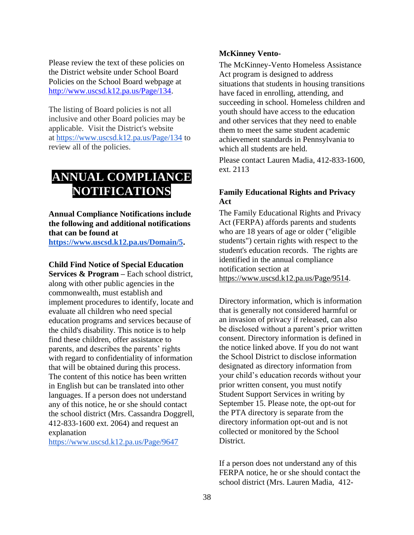Please review the text of these policies on the District website under School Board Policies on the School Board webpage at [http://www.uscsd.k12.pa.us/Page/134.](http://www.uscsd.k12.pa.us/Page/134)

The listing of Board policies is not all inclusive and other Board policies may be applicable. Visit the District's website at <https://www.uscsd.k12.pa.us/Page/134> to review all of the policies.

## **ANNUAL COMPLIANCE NOTIFICATIONS**

**Annual Compliance Notifications include the following and additional notifications that can be found at** 

**[https://www.uscsd.k12.pa.us/Domain/5.](https://www.uscsd.k12.pa.us/Domain/5)** 

#### **Child Find Notice of Special Education**

**Services & Program –** Each school district, along with other public agencies in the commonwealth, must establish and implement procedures to identify, locate and evaluate all children who need special education programs and services because of the child's disability. This notice is to help find these children, offer assistance to parents, and describes the parents' rights with regard to confidentiality of information that will be obtained during this process. The content of this notice has been written in English but can be translated into other languages. If a person does not understand any of this notice, he or she should contact the school district (Mrs. Cassandra Doggrell, 412-833-1600 ext. 2064) and request an explanation

<https://www.uscsd.k12.pa.us/Page/9647>

#### **McKinney Vento-**

The McKinney-Vento Homeless Assistance Act program is designed to address situations that students in housing transitions have faced in enrolling, attending, and succeeding in school. Homeless children and youth should have access to the education and other services that they need to enable them to meet the same student academic achievement standards in Pennsylvania to which all students are held.

Please contact Lauren Madia, 412-833-1600, ext. 2113

#### **Family Educational Rights and Privacy Act**

The Family Educational Rights and Privacy Act (FERPA) affords parents and students who are 18 years of age or older ("eligible students") certain rights with respect to the student's education records. The rights are identified in the annual compliance notification section at [https://www.uscsd.k12.pa.us/Page/9514.](https://www.uscsd.k12.pa.us/Page/9514)

Directory information, which is information that is generally not considered harmful or an invasion of privacy if released, can also be disclosed without a parent's prior written consent. Directory information is defined in the notice linked above. If you do not want the School District to disclose information designated as directory information from your child's education records without your prior written consent, you must notify Student Support Services in writing by September 15. Please note, the opt-out for the PTA directory is separate from the directory information opt-out and is not collected or monitored by the School District.

If a person does not understand any of this FERPA notice, he or she should contact the school district (Mrs. Lauren Madia, 412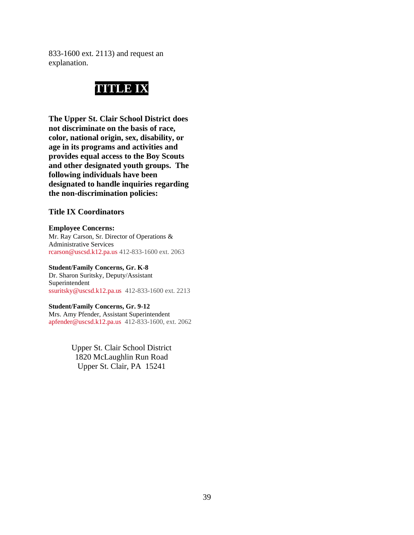833-1600 ext. 2113) and request an explanation.

### **TITLE IX**

**The Upper St. Clair School District does not discriminate on the basis of race, color, national origin, sex, disability, or age in its programs and activities and provides equal access to the Boy Scouts and other designated youth groups. The following individuals have been designated to handle inquiries regarding the non-discrimination policies:**

#### **Title IX Coordinators**

**Employee Concerns:** Mr. Ray Carson, Sr. Director of Operations & Administrative Services rcarson@uscsd.k12.pa.us 412-833-1600 ext. 2063

#### **Student/Family Concerns, Gr. K-8** Dr. Sharon Suritsky, Deputy/Assistant

Superintendent ssuritsky@uscsd.k12.pa.us 412-833-1600 ext. 2213

#### **Student/Family Concerns, Gr. 9-12**

Mrs. Amy Pfender, Assistant Superintendent apfender@uscsd.k12.pa.us 412-833-1600, ext. 2062

> Upper St. Clair School District 1820 McLaughlin Run Road Upper St. Clair, PA 15241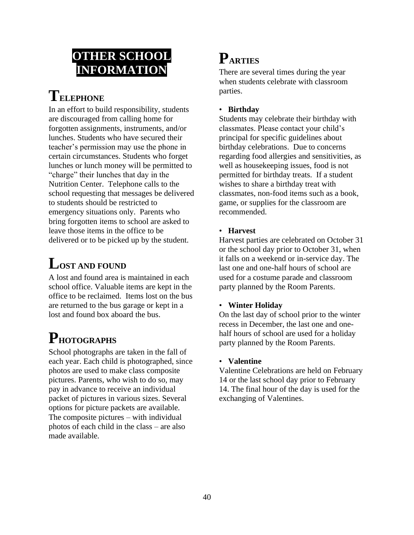## **OTHER SCHOOL INFORMATION**

# **TELEPHONE**

In an effort to build responsibility, students are discouraged from calling home for forgotten assignments, instruments, and/or lunches. Students who have secured their teacher's permission may use the phone in certain circumstances. Students who forget lunches or lunch money will be permitted to "charge" their lunches that day in the Nutrition Center. Telephone calls to the school requesting that messages be delivered to students should be restricted to emergency situations only. Parents who bring forgotten items to school are asked to leave those items in the office to be delivered or to be picked up by the student.

# **LOST AND FOUND**

A lost and found area is maintained in each school office. Valuable items are kept in the office to be reclaimed. Items lost on the bus are returned to the bus garage or kept in a lost and found box aboard the bus.

# **PHOTOGRAPHS**

School photographs are taken in the fall of each year. Each child is photographed, since photos are used to make class composite pictures. Parents, who wish to do so, may pay in advance to receive an individual packet of pictures in various sizes. Several options for picture packets are available. The composite pictures – with individual photos of each child in the class – are also made available.

# **PARTIES**

There are several times during the year when students celebrate with classroom parties.

#### • **Birthday**

Students may celebrate their birthday with classmates. Please contact your child's principal for specific guidelines about birthday celebrations. Due to concerns regarding food allergies and sensitivities, as well as housekeeping issues, food is not permitted for birthday treats. If a student wishes to share a birthday treat with classmates, non-food items such as a book, game, or supplies for the classroom are recommended.

#### • **Harvest**

Harvest parties are celebrated on October 31 or the school day prior to October 31, when it falls on a weekend or in-service day. The last one and one-half hours of school are used for a costume parade and classroom party planned by the Room Parents.

#### • **Winter Holiday**

On the last day of school prior to the winter recess in December, the last one and onehalf hours of school are used for a holiday party planned by the Room Parents.

#### • **Valentine**

Valentine Celebrations are held on February 14 or the last school day prior to February 14. The final hour of the day is used for the exchanging of Valentines.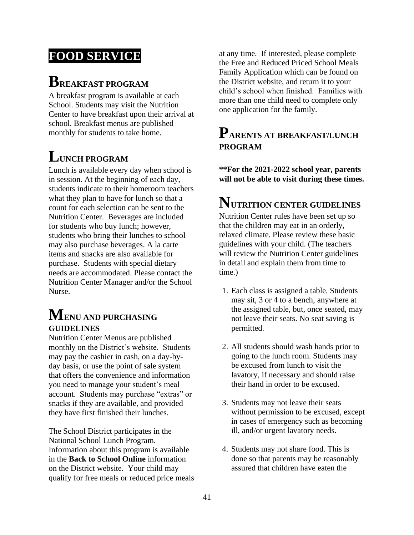## **FOOD SERVICE**

# **BREAKFAST PROGRAM**

A breakfast program is available at each School. Students may visit the Nutrition Center to have breakfast upon their arrival at school. Breakfast menus are published monthly for students to take home.

# **LUNCH PROGRAM**

Lunch is available every day when school is in session. At the beginning of each day, students indicate to their homeroom teachers what they plan to have for lunch so that a count for each selection can be sent to the Nutrition Center. Beverages are included for students who buy lunch; however, students who bring their lunches to school may also purchase beverages. A la carte items and snacks are also available for purchase. Students with special dietary needs are accommodated. Please contact the Nutrition Center Manager and/or the School Nurse.

### **MENU AND PURCHASING GUIDELINES**

Nutrition Center Menus are published monthly on the District's website. Students may pay the cashier in cash, on a day-byday basis, or use the point of sale system that offers the convenience and information you need to manage your student's meal account. Students may purchase "extras" or snacks if they are available, and provided they have first finished their lunches.

The School District participates in the National School Lunch Program. Information about this program is available in the **Back to School Online** information on the District website. Your child may qualify for free meals or reduced price meals at any time. If interested, please complete the Free and Reduced Priced School Meals Family Application which can be found on the District website, and return it to your child's school when finished. Families with more than one child need to complete only one application for the family.

## **PARENTS AT BREAKFAST/LUNCH PROGRAM**

**\*\*For the 2021-2022 school year, parents will not be able to visit during these times.** 

# **NUTRITION CENTER GUIDELINES**

Nutrition Center rules have been set up so that the children may eat in an orderly, relaxed climate. Please review these basic guidelines with your child. (The teachers will review the Nutrition Center guidelines in detail and explain them from time to time.)

- 1. Each class is assigned a table. Students may sit, 3 or 4 to a bench, anywhere at the assigned table, but, once seated, may not leave their seats. No seat saving is permitted.
- 2. All students should wash hands prior to going to the lunch room. Students may be excused from lunch to visit the lavatory, if necessary and should raise their hand in order to be excused.
- 3. Students may not leave their seats without permission to be excused, except in cases of emergency such as becoming ill, and/or urgent lavatory needs.
- 4. Students may not share food. This is done so that parents may be reasonably assured that children have eaten the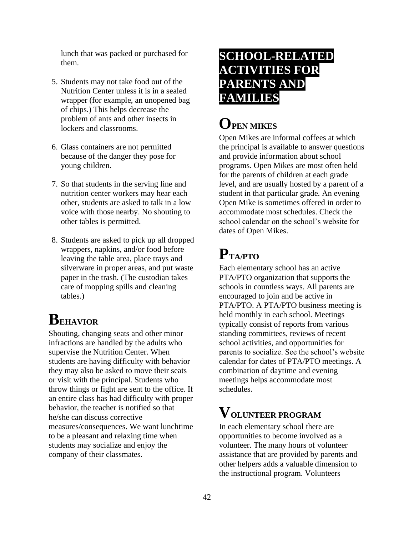lunch that was packed or purchased for them.

- 5. Students may not take food out of the Nutrition Center unless it is in a sealed wrapper (for example, an unopened bag of chips.) This helps decrease the problem of ants and other insects in lockers and classrooms.
- 6. Glass containers are not permitted because of the danger they pose for young children.
- 7. So that students in the serving line and nutrition center workers may hear each other, students are asked to talk in a low voice with those nearby. No shouting to other tables is permitted.
- 8. Students are asked to pick up all dropped wrappers, napkins, and/or food before leaving the table area, place trays and silverware in proper areas, and put waste paper in the trash. (The custodian takes care of mopping spills and cleaning tables.)

# **BEHAVIOR**

Shouting, changing seats and other minor infractions are handled by the adults who supervise the Nutrition Center. When students are having difficulty with behavior they may also be asked to move their seats or visit with the principal. Students who throw things or fight are sent to the office. If an entire class has had difficulty with proper behavior, the teacher is notified so that he/she can discuss corrective measures/consequences. We want lunchtime to be a pleasant and relaxing time when students may socialize and enjoy the company of their classmates.

## **SCHOOL-RELATED ACTIVITIES FOR PARENTS AND FAMILIES**

# **OPEN MIKES**

Open Mikes are informal coffees at which the principal is available to answer questions and provide information about school programs. Open Mikes are most often held for the parents of children at each grade level, and are usually hosted by a parent of a student in that particular grade. An evening Open Mike is sometimes offered in order to accommodate most schedules. Check the school calendar on the school's website for dates of Open Mikes.

# **PTA/PTO**

Each elementary school has an active PTA/PTO organization that supports the schools in countless ways. All parents are encouraged to join and be active in PTA/PTO. A PTA/PTO business meeting is held monthly in each school. Meetings typically consist of reports from various standing committees, reviews of recent school activities, and opportunities for parents to socialize. See the school's website calendar for dates of PTA/PTO meetings. A combination of daytime and evening meetings helps accommodate most schedules.

# **VOLUNTEER PROGRAM**

In each elementary school there are opportunities to become involved as a volunteer. The many hours of volunteer assistance that are provided by parents and other helpers adds a valuable dimension to the instructional program. Volunteers